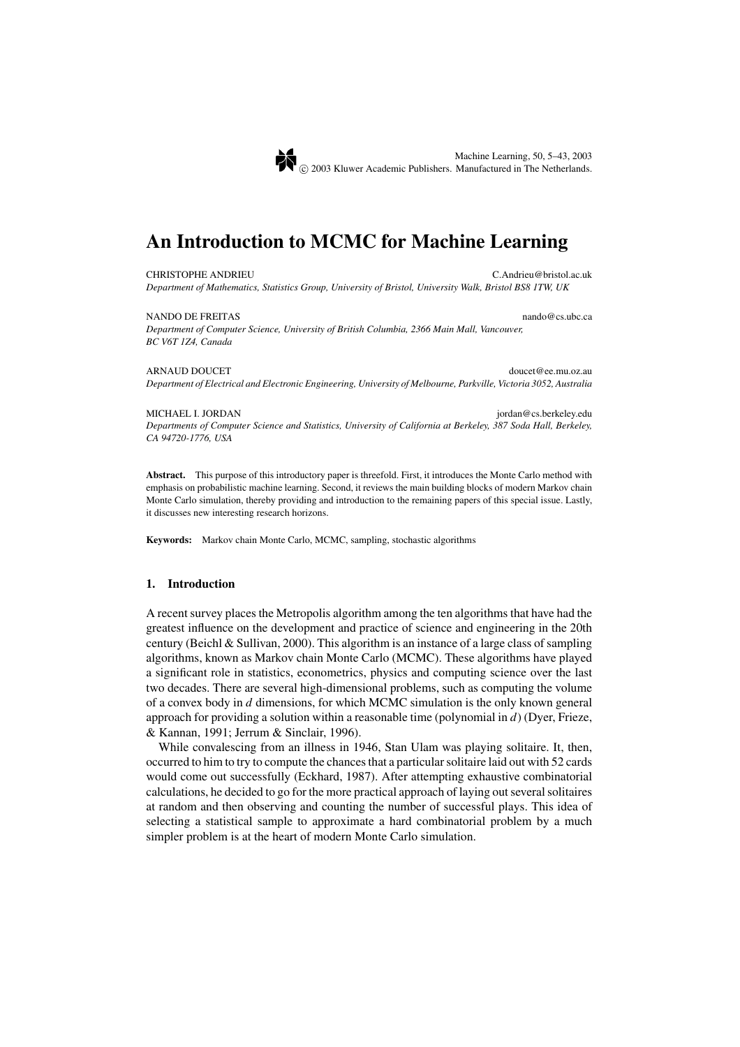# **An Introduction to MCMC for Machine Learning**

CHRISTOPHE ANDRIEU *Department of Mathematics, Statistics Group, University of Bristol, University Walk, Bristol BS8 1TW, UK*

NANDO DE FREITAS  $\qquad \qquad$  nando@cs.ubc.ca *Department of Computer Science, University of British Columbia, 2366 Main Mall, Vancouver, BC V6T 1Z4, Canada*

ARNAUD DOUCET doucet (are mundered as a mundered at a mundered and a mundered at a mundered and a mundered at a mundered at a mundered and a mundered at a mundered at a mundered at a mundered at a mundered at a mundered at *Department of Electrical and Electronic Engineering, University of Melbourne, Parkville, Victoria 3052, Australia*

MICHAEL I. JORDAN jordan @cs.berkeley.edu *Departments of Computer Science and Statistics, University of California at Berkeley, 387 Soda Hall, Berkeley, CA 94720-1776, USA*

**Abstract.** This purpose of this introductory paper is threefold. First, it introduces the Monte Carlo method with emphasis on probabilistic machine learning. Second, it reviews the main building blocks of modern Markov chain Monte Carlo simulation, thereby providing and introduction to the remaining papers of this special issue. Lastly, it discusses new interesting research horizons.

**Keywords:** Markov chain Monte Carlo, MCMC, sampling, stochastic algorithms

## **1. Introduction**

A recent survey places the Metropolis algorithm among the ten algorithms that have had the greatest influence on the development and practice of science and engineering in the 20th century (Beichl & Sullivan, 2000). This algorithm is an instance of a large class of sampling algorithms, known as Markov chain Monte Carlo (MCMC). These algorithms have played a significant role in statistics, econometrics, physics and computing science over the last two decades. There are several high-dimensional problems, such as computing the volume of a convex body in *d* dimensions, for which MCMC simulation is the only known general approach for providing a solution within a reasonable time (polynomial in *d*) (Dyer, Frieze, & Kannan, 1991; Jerrum & Sinclair, 1996).

While convalescing from an illness in 1946, Stan Ulam was playing solitaire. It, then, occurred to him to try to compute the chances that a particular solitaire laid out with 52 cards would come out successfully (Eckhard, 1987). After attempting exhaustive combinatorial calculations, he decided to go for the more practical approach of laying out several solitaires at random and then observing and counting the number of successful plays. This idea of selecting a statistical sample to approximate a hard combinatorial problem by a much simpler problem is at the heart of modern Monte Carlo simulation.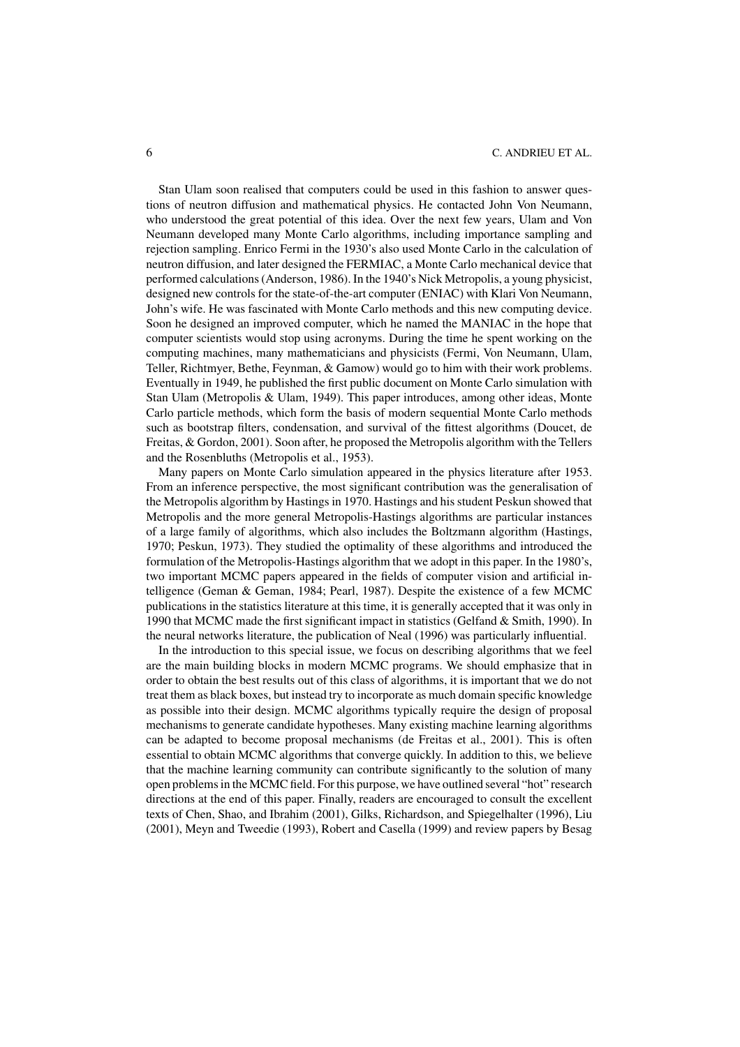Stan Ulam soon realised that computers could be used in this fashion to answer questions of neutron diffusion and mathematical physics. He contacted John Von Neumann, who understood the great potential of this idea. Over the next few years, Ulam and Von Neumann developed many Monte Carlo algorithms, including importance sampling and rejection sampling. Enrico Fermi in the 1930's also used Monte Carlo in the calculation of neutron diffusion, and later designed the FERMIAC, a Monte Carlo mechanical device that performed calculations (Anderson, 1986). In the 1940's Nick Metropolis, a young physicist, designed new controls for the state-of-the-art computer (ENIAC) with Klari Von Neumann, John's wife. He was fascinated with Monte Carlo methods and this new computing device. Soon he designed an improved computer, which he named the MANIAC in the hope that computer scientists would stop using acronyms. During the time he spent working on the computing machines, many mathematicians and physicists (Fermi, Von Neumann, Ulam, Teller, Richtmyer, Bethe, Feynman, & Gamow) would go to him with their work problems. Eventually in 1949, he published the first public document on Monte Carlo simulation with Stan Ulam (Metropolis & Ulam, 1949). This paper introduces, among other ideas, Monte Carlo particle methods, which form the basis of modern sequential Monte Carlo methods such as bootstrap filters, condensation, and survival of the fittest algorithms (Doucet, de Freitas, & Gordon, 2001). Soon after, he proposed the Metropolis algorithm with the Tellers and the Rosenbluths (Metropolis et al., 1953).

Many papers on Monte Carlo simulation appeared in the physics literature after 1953. From an inference perspective, the most significant contribution was the generalisation of the Metropolis algorithm by Hastings in 1970. Hastings and his student Peskun showed that Metropolis and the more general Metropolis-Hastings algorithms are particular instances of a large family of algorithms, which also includes the Boltzmann algorithm (Hastings, 1970; Peskun, 1973). They studied the optimality of these algorithms and introduced the formulation of the Metropolis-Hastings algorithm that we adopt in this paper. In the 1980's, two important MCMC papers appeared in the fields of computer vision and artificial intelligence (Geman & Geman, 1984; Pearl, 1987). Despite the existence of a few MCMC publications in the statistics literature at this time, it is generally accepted that it was only in 1990 that MCMC made the first significant impact in statistics (Gelfand & Smith, 1990). In the neural networks literature, the publication of Neal (1996) was particularly influential.

In the introduction to this special issue, we focus on describing algorithms that we feel are the main building blocks in modern MCMC programs. We should emphasize that in order to obtain the best results out of this class of algorithms, it is important that we do not treat them as black boxes, but instead try to incorporate as much domain specific knowledge as possible into their design. MCMC algorithms typically require the design of proposal mechanisms to generate candidate hypotheses. Many existing machine learning algorithms can be adapted to become proposal mechanisms (de Freitas et al., 2001). This is often essential to obtain MCMC algorithms that converge quickly. In addition to this, we believe that the machine learning community can contribute significantly to the solution of many open problems in the MCMC field. For this purpose, we have outlined several "hot" research directions at the end of this paper. Finally, readers are encouraged to consult the excellent texts of Chen, Shao, and Ibrahim (2001), Gilks, Richardson, and Spiegelhalter (1996), Liu (2001), Meyn and Tweedie (1993), Robert and Casella (1999) and review papers by Besag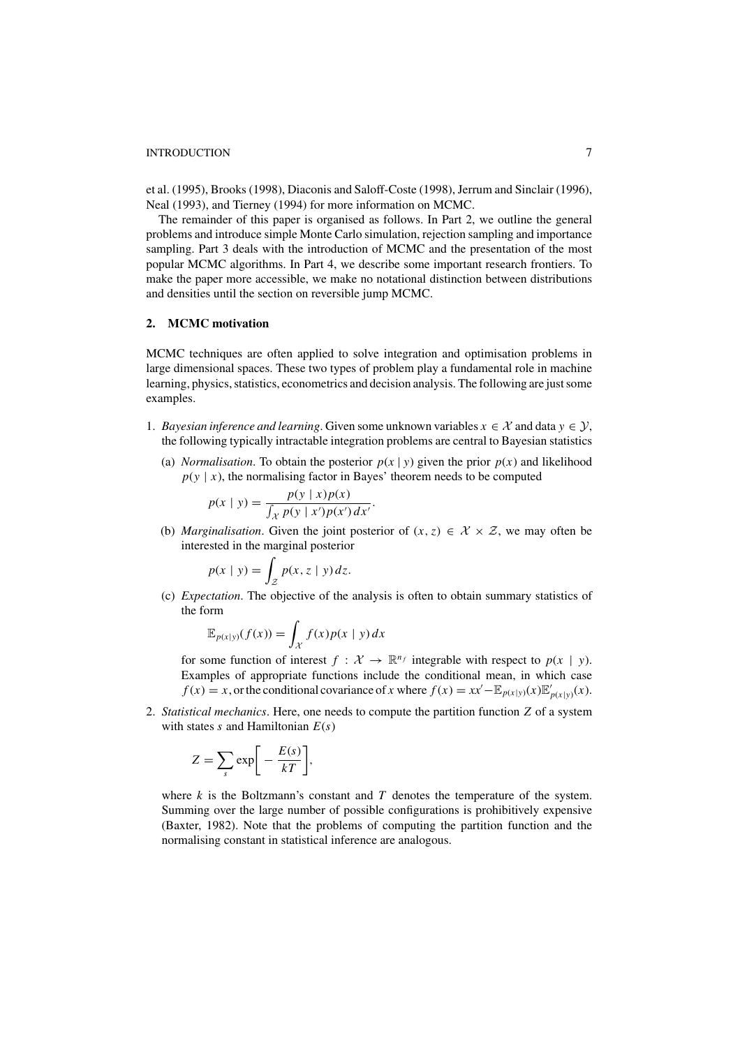et al. (1995), Brooks (1998), Diaconis and Saloff-Coste (1998), Jerrum and Sinclair (1996), Neal (1993), and Tierney (1994) for more information on MCMC.

The remainder of this paper is organised as follows. In Part 2, we outline the general problems and introduce simple Monte Carlo simulation, rejection sampling and importance sampling. Part 3 deals with the introduction of MCMC and the presentation of the most popular MCMC algorithms. In Part 4, we describe some important research frontiers. To make the paper more accessible, we make no notational distinction between distributions and densities until the section on reversible jump MCMC.

## **2. MCMC motivation**

MCMC techniques are often applied to solve integration and optimisation problems in large dimensional spaces. These two types of problem play a fundamental role in machine learning, physics, statistics, econometrics and decision analysis. The following are just some examples.

- 1. *Bayesian inference and learning*. Given some unknown variables  $x \in \mathcal{X}$  and data  $y \in \mathcal{Y}$ , the following typically intractable integration problems are central to Bayesian statistics
	- (a) *Normalisation*. To obtain the posterior  $p(x | y)$  given the prior  $p(x)$  and likelihood  $p(y | x)$ , the normalising factor in Bayes' theorem needs to be computed

$$
p(x \mid y) = \frac{p(y \mid x)p(x)}{\int_{\mathcal{X}} p(y \mid x')p(x') dx'}.
$$

(b) *Marginalisation*. Given the joint posterior of  $(x, z) \in \mathcal{X} \times \mathcal{Z}$ , we may often be interested in the marginal posterior

$$
p(x \mid y) = \int_{\mathcal{Z}} p(x, z \mid y) dz.
$$

(c) *Expectation*. The objective of the analysis is often to obtain summary statistics of the form

$$
\mathbb{E}_{p(x|y)}(f(x)) = \int_{\mathcal{X}} f(x)p(x | y) dx
$$

for some function of interest  $f : \mathcal{X} \to \mathbb{R}^{n_f}$  integrable with respect to  $p(x | y)$ . Examples of appropriate functions include the conditional mean, in which case  $f(x) = x$ , or the conditional covariance of *x* where  $f(x) = xx' - \mathbb{E}_{p(x|y)}(x)\mathbb{E}_{p(x|y)}'(x)$ .

2. *Statistical mechanics*. Here, one needs to compute the partition function *Z* of a system with states *s* and Hamiltonian *E*(*s*)

$$
Z = \sum_{s} \exp \bigg[ -\frac{E(s)}{kT} \bigg],
$$

where *k* is the Boltzmann's constant and *T* denotes the temperature of the system. Summing over the large number of possible configurations is prohibitively expensive (Baxter, 1982). Note that the problems of computing the partition function and the normalising constant in statistical inference are analogous.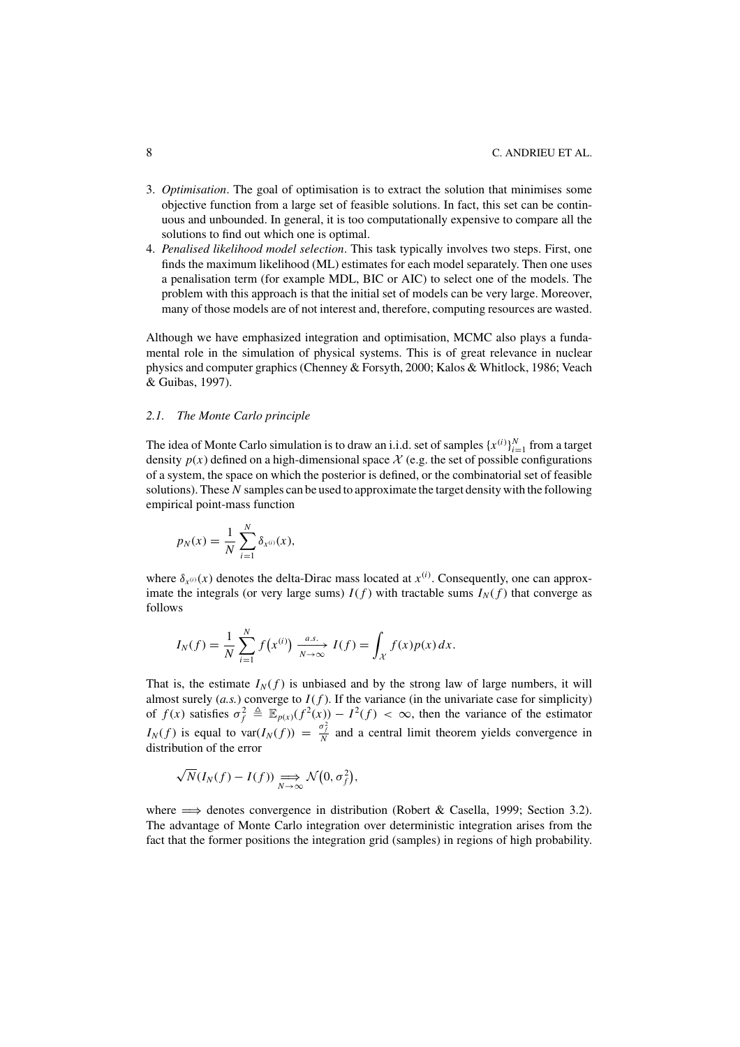- 3. *Optimisation*. The goal of optimisation is to extract the solution that minimises some objective function from a large set of feasible solutions. In fact, this set can be continuous and unbounded. In general, it is too computationally expensive to compare all the solutions to find out which one is optimal.
- 4. *Penalised likelihood model selection*. This task typically involves two steps. First, one finds the maximum likelihood (ML) estimates for each model separately. Then one uses a penalisation term (for example MDL, BIC or AIC) to select one of the models. The problem with this approach is that the initial set of models can be very large. Moreover, many of those models are of not interest and, therefore, computing resources are wasted.

Although we have emphasized integration and optimisation, MCMC also plays a fundamental role in the simulation of physical systems. This is of great relevance in nuclear physics and computer graphics (Chenney & Forsyth, 2000; Kalos & Whitlock, 1986; Veach & Guibas, 1997).

# *2.1. The Monte Carlo principle*

The idea of Monte Carlo simulation is to draw an i.i.d. set of samples  $\{x^{(i)}\}_{i=1}^N$  from a target density  $p(x)$  defined on a high-dimensional space  $\mathcal{X}$  (e.g. the set of possible configurations of a system, the space on which the posterior is defined, or the combinatorial set of feasible solutions). These *N* samples can be used to approximate the target density with the following empirical point-mass function

$$
p_N(x) = \frac{1}{N} \sum_{i=1}^{N} \delta_{x^{(i)}}(x),
$$

where  $\delta_{x^{(i)}}(x)$  denotes the delta-Dirac mass located at  $x^{(i)}$ . Consequently, one can approximate the integrals (or very large sums)  $I(f)$  with tractable sums  $I_N(f)$  that converge as follows

$$
I_N(f) = \frac{1}{N} \sum_{i=1}^N f(x^{(i)}) \xrightarrow[N \to \infty]{a.s.} I(f) = \int_{\mathcal{X}} f(x) p(x) dx.
$$

That is, the estimate  $I_N(f)$  is unbiased and by the strong law of large numbers, it will almost surely  $(a.s.)$  converge to  $I(f)$ . If the variance (in the univariate case for simplicity) of  $f(x)$  satisfies  $\sigma_f^2 \triangleq \mathbb{E}_{p(x)}(f^2(x)) - I^2(f) < \infty$ , then the variance of the estimator  $I_N(f)$  is equal to var $(I_N(f)) = \frac{\sigma_f^2}{N}$  and a central limit theorem yields convergence in distribution of the error

$$
\sqrt{N}(I_N(f) - I(f)) \underset{N \to \infty}{\Longrightarrow} \mathcal{N}(0, \sigma_f^2),
$$

where  $\implies$  denotes convergence in distribution (Robert & Casella, 1999; Section 3.2). The advantage of Monte Carlo integration over deterministic integration arises from the fact that the former positions the integration grid (samples) in regions of high probability.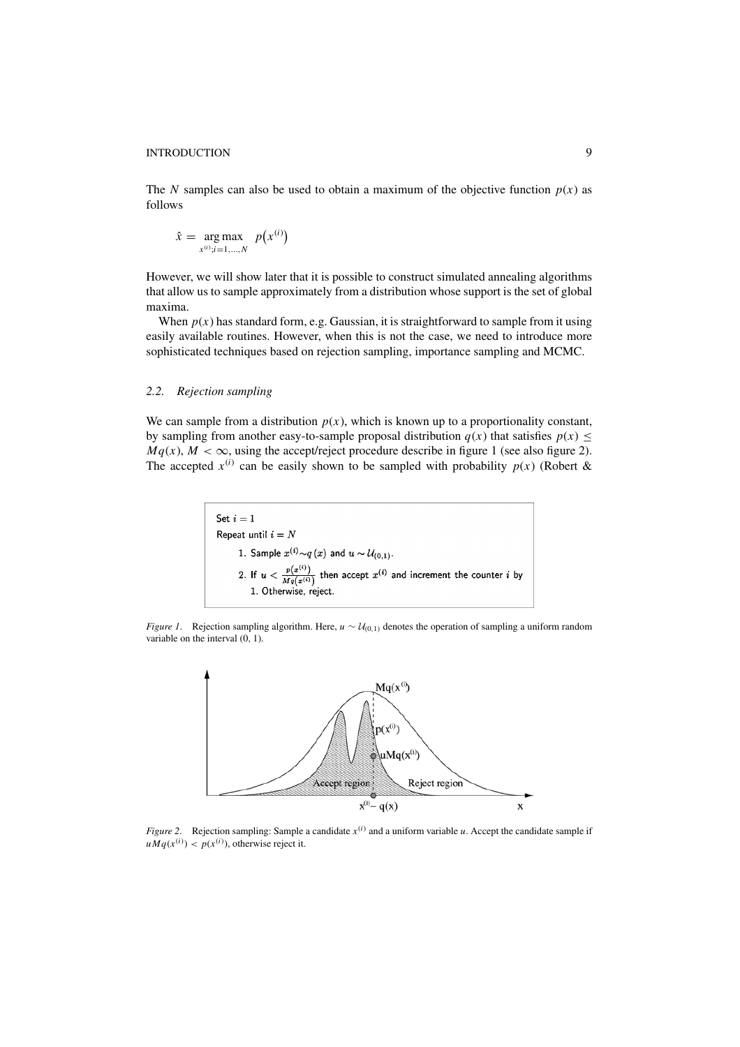The *N* samples can also be used to obtain a maximum of the objective function  $p(x)$  as follows

$$
\hat{x} = \underset{x^{(i)}; i=1,\dots,N}{\arg \max} p(x^{(i)})
$$

However, we will show later that it is possible to construct simulated annealing algorithms that allow us to sample approximately from a distribution whose support is the set of global maxima.

When  $p(x)$  has standard form, e.g. Gaussian, it is straightforward to sample from it using easily available routines. However, when this is not the case, we need to introduce more sophisticated techniques based on rejection sampling, importance sampling and MCMC.

# *2.2. Rejection sampling*

We can sample from a distribution  $p(x)$ , which is known up to a proportionality constant, by sampling from another easy-to-sample proposal distribution  $q(x)$  that satisfies  $p(x) \leq$  $Mq(x)$ ,  $M < \infty$ , using the accept/reject procedure describe in figure 1 (see also figure 2). The accepted  $x^{(i)}$  can be easily shown to be sampled with probability  $p(x)$  (Robert &

> Set  $i=1$ Repeat until  $i = N$ 1. Sample  $x^{(i)} \sim q(x)$  and  $u \sim \mathcal{U}_{(0,1)}$ . 2. If  $u < \frac{p(x^{(i)})}{Mq(x^{(i)})}$  then accept  $x^{(i)}$  and increment the counter i by 1. Otherwise, reject.

*Figure 1*. Rejection sampling algorithm. Here, *u* ∼  $U_{(0,1)}$  denotes the operation of sampling a uniform random variable on the interval (0, 1).



*Figure 2.* Rejection sampling: Sample a candidate  $x^{(i)}$  and a uniform variable *u*. Accept the candidate sample if  $uMq(x^{(i)}) < p(x^{(i)})$ , otherwise reject it.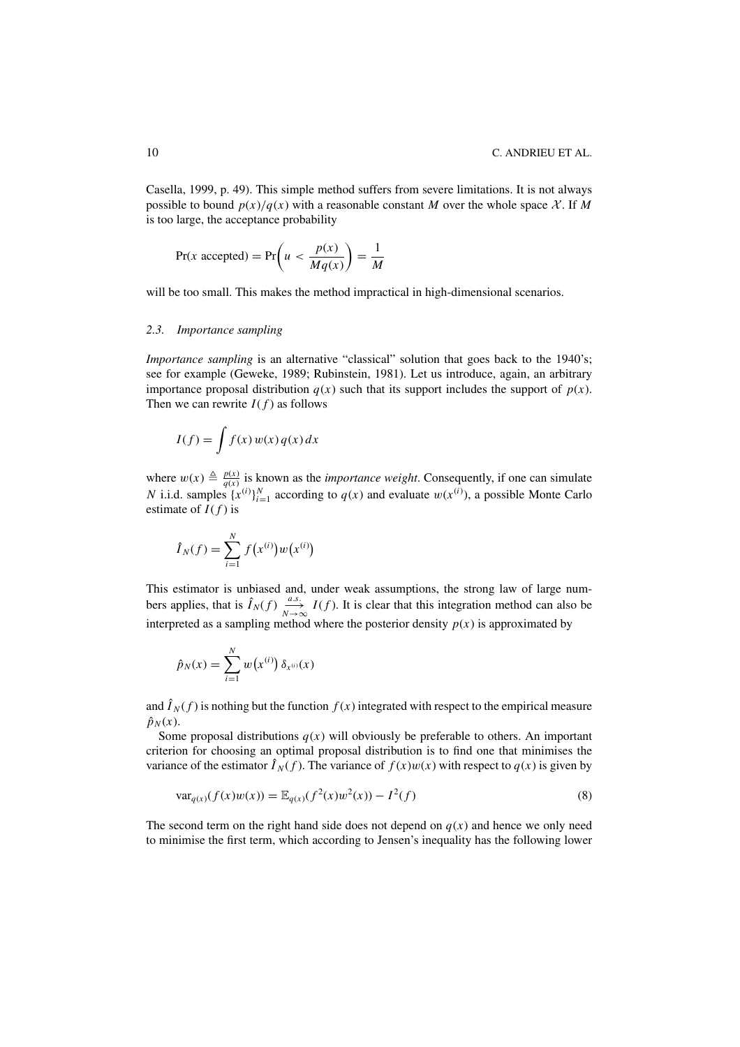Casella, 1999, p. 49). This simple method suffers from severe limitations. It is not always possible to bound  $p(x)/q(x)$  with a reasonable constant *M* over the whole space X. If *M* is too large, the acceptance probability

$$
Pr(x \text{ accepted}) = Pr\left(u < \frac{p(x)}{Mq(x)}\right) = \frac{1}{M}
$$

will be too small. This makes the method impractical in high-dimensional scenarios.

#### *2.3. Importance sampling*

*Importance sampling* is an alternative "classical" solution that goes back to the 1940's; see for example (Geweke, 1989; Rubinstein, 1981). Let us introduce, again, an arbitrary importance proposal distribution  $q(x)$  such that its support includes the support of  $p(x)$ . Then we can rewrite  $I(f)$  as follows

$$
I(f) = \int f(x) w(x) q(x) dx
$$

where  $w(x) \triangleq \frac{p(x)}{q(x)}$  is known as the *importance weight*. Consequently, if one can simulate *N* i.i.d. samples  $\{x^{(i)}\}_{i=1}^N$  according to  $q(x)$  and evaluate  $w(x^{(i)})$ , a possible Monte Carlo estimate of  $I(f)$  is

$$
\hat{I}_N(f) = \sum_{i=1}^N f(x^{(i)}) w(x^{(i)})
$$

This estimator is unbiased and, under weak assumptions, the strong law of large numbers applies, that is  $\hat{I}_N(f) \xrightarrow[N \to \infty]{a.s.} I(f)$ . It is clear that this integration method can also be interpreted as a sampling method where the posterior density  $p(x)$  is approximated by

$$
\hat{p}_N(x) = \sum_{i=1}^N w(x^{(i)}) \, \delta_{x^{(i)}}(x)
$$

and  $\hat{I}_N(f)$  is nothing but the function  $f(x)$  integrated with respect to the empirical measure  $\hat{p}_N(x)$ .

Some proposal distributions  $q(x)$  will obviously be preferable to others. An important criterion for choosing an optimal proposal distribution is to find one that minimises the variance of the estimator  $\hat{I}_N(f)$ . The variance of  $f(x)w(x)$  with respect to  $q(x)$  is given by

$$
var_{q(x)}(f(x)w(x)) = \mathbb{E}_{q(x)}(f^{2}(x)w^{2}(x)) - I^{2}(f)
$$
\n(8)

The second term on the right hand side does not depend on  $q(x)$  and hence we only need to minimise the first term, which according to Jensen's inequality has the following lower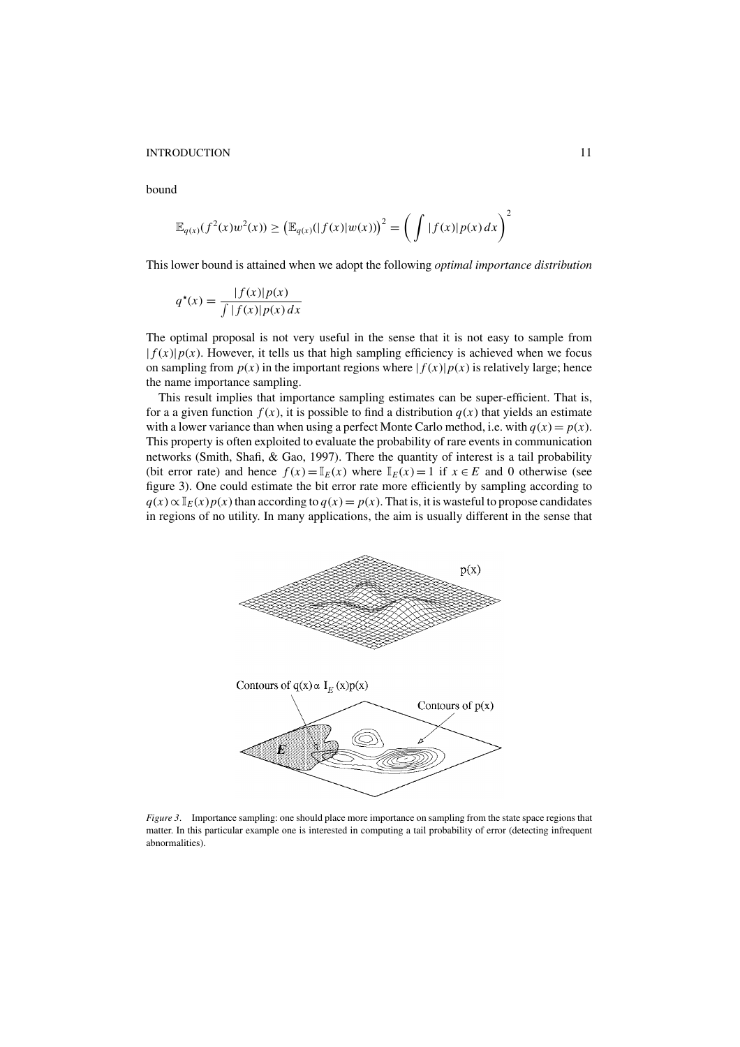bound

$$
\mathbb{E}_{q(x)}(f^2(x)w^2(x)) \ge \left(\mathbb{E}_{q(x)}(|f(x)|w(x))\right)^2 = \left(\int |f(x)|p(x)dx\right)^2
$$

This lower bound is attained when we adopt the following *optimal importance distribution*

$$
q^*(x) = \frac{|f(x)|p(x)}{\int |f(x)|p(x) dx}
$$

The optimal proposal is not very useful in the sense that it is not easy to sample from  $| f(x)| p(x)$ . However, it tells us that high sampling efficiency is achieved when we focus on sampling from  $p(x)$  in the important regions where  $|f(x)|p(x)$  is relatively large; hence the name importance sampling.

This result implies that importance sampling estimates can be super-efficient. That is, for a a given function  $f(x)$ , it is possible to find a distribution  $q(x)$  that yields an estimate with a lower variance than when using a perfect Monte Carlo method, i.e. with  $q(x) = p(x)$ . This property is often exploited to evaluate the probability of rare events in communication networks (Smith, Shafi, & Gao, 1997). There the quantity of interest is a tail probability (bit error rate) and hence  $f(x) = \mathbb{I}_E(x)$  where  $\mathbb{I}_E(x) = 1$  if  $x \in E$  and 0 otherwise (see figure 3). One could estimate the bit error rate more efficiently by sampling according to  $q(x) \propto \mathbb{I}_E(x)p(x)$  than according to  $q(x) = p(x)$ . That is, it is wasteful to propose candidates in regions of no utility. In many applications, the aim is usually different in the sense that



*Figure 3*. Importance sampling: one should place more importance on sampling from the state space regions that matter. In this particular example one is interested in computing a tail probability of error (detecting infrequent abnormalities).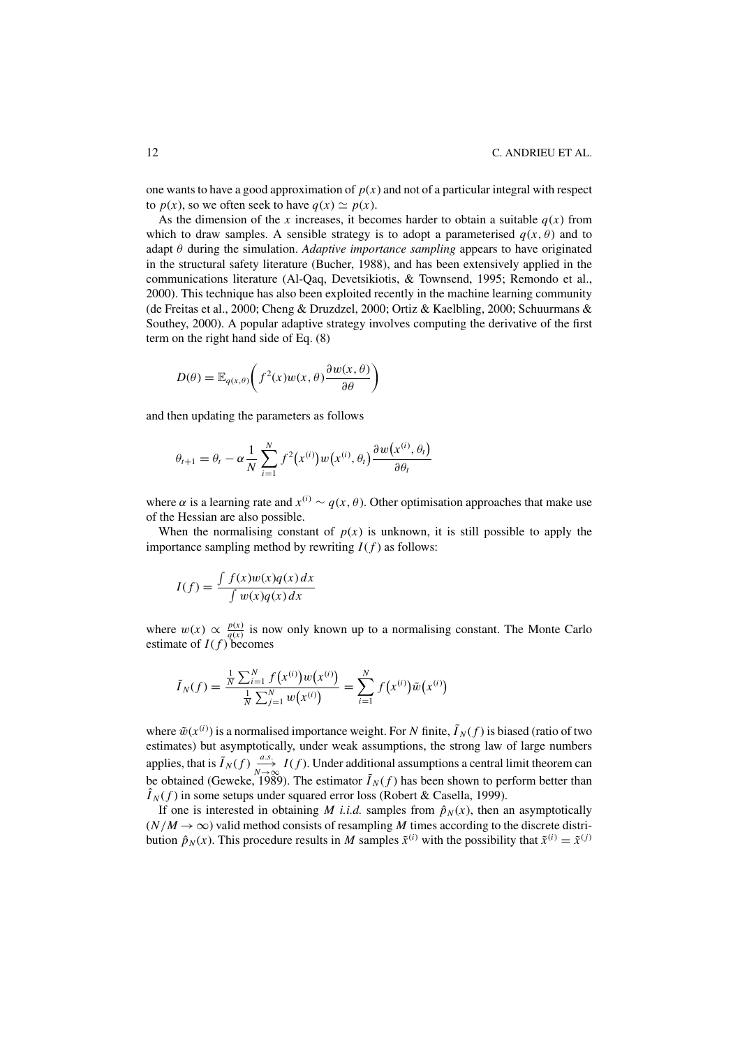one wants to have a good approximation of  $p(x)$  and not of a particular integral with respect to  $p(x)$ , so we often seek to have  $q(x) \simeq p(x)$ .

As the dimension of the *x* increases, it becomes harder to obtain a suitable  $q(x)$  from which to draw samples. A sensible strategy is to adopt a parameterised  $q(x, \theta)$  and to adapt θ during the simulation. *Adaptive importance sampling* appears to have originated in the structural safety literature (Bucher, 1988), and has been extensively applied in the communications literature (Al-Qaq, Devetsikiotis, & Townsend, 1995; Remondo et al., 2000). This technique has also been exploited recently in the machine learning community (de Freitas et al., 2000; Cheng & Druzdzel, 2000; Ortiz & Kaelbling, 2000; Schuurmans & Southey, 2000). A popular adaptive strategy involves computing the derivative of the first term on the right hand side of Eq. (8)

$$
D(\theta) = \mathbb{E}_{q(x,\theta)}\bigg(f^2(x)w(x,\theta)\frac{\partial w(x,\theta)}{\partial \theta}\bigg)
$$

and then updating the parameters as follows

$$
\theta_{t+1} = \theta_t - \alpha \frac{1}{N} \sum_{i=1}^N f^2(x^{(i)}) w(x^{(i)}, \theta_t) \frac{\partial w(x^{(i)}, \theta_t)}{\partial \theta_t}
$$

where  $\alpha$  is a learning rate and  $x^{(i)} \sim q(x, \theta)$ . Other optimisation approaches that make use of the Hessian are also possible.

When the normalising constant of  $p(x)$  is unknown, it is still possible to apply the importance sampling method by rewriting  $I(f)$  as follows:

$$
I(f) = \frac{\int f(x)w(x)q(x)dx}{\int w(x)q(x)dx}
$$

where  $w(x) \propto \frac{p(x)}{q(x)}$  is now only known up to a normalising constant. The Monte Carlo estimate of  $I(f)$  becomes

$$
\tilde{I}_N(f) = \frac{\frac{1}{N} \sum_{i=1}^N f(x^{(i)}) w(x^{(i)})}{\frac{1}{N} \sum_{j=1}^N w(x^{(i)})} = \sum_{i=1}^N f(x^{(i)}) \tilde{w}(x^{(i)})
$$

where  $\tilde{w}(x^{(i)})$  is a normalised importance weight. For *N* finite,  $\tilde{I}_N(f)$  is biased (ratio of two estimates) but asymptotically, under weak assumptions, the strong law of large numbers applies, that is  $\tilde{I}_N(f) \xrightarrow[N \to \infty]{a.s.} I(f)$ . Under additional assumptions a central limit theorem can be obtained (Geweke, 1989). The estimator  $\tilde{I}_N(f)$  has been shown to perform better than  $\hat{I}_N(f)$  in some setups under squared error loss (Robert & Casella, 1999).

If one is interested in obtaining *M* i.i.d. samples from  $\hat{p}_N(x)$ , then an asymptotically  $(N/M \rightarrow \infty)$  valid method consists of resampling *M* times according to the discrete distribution  $\hat{p}_N(x)$ . This procedure results in *M* samples  $\tilde{x}^{(i)}$  with the possibility that  $\tilde{x}^{(i)} = \tilde{x}^{(j)}$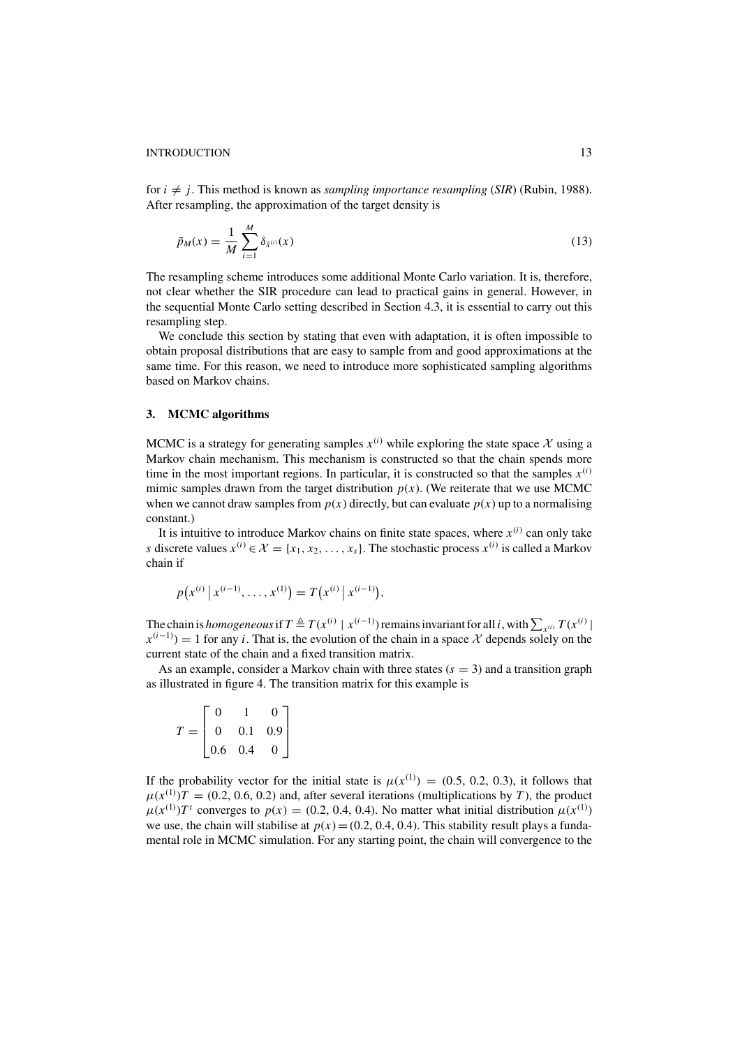for  $i \neq j$ . This method is known as *sampling importance resampling* (*SIR*) (Rubin, 1988). After resampling, the approximation of the target density is

$$
\tilde{p}_M(x) = \frac{1}{M} \sum_{i=1}^{M} \delta_{\tilde{x}^{(i)}}(x)
$$
\n(13)

The resampling scheme introduces some additional Monte Carlo variation. It is, therefore, not clear whether the SIR procedure can lead to practical gains in general. However, in the sequential Monte Carlo setting described in Section 4.3, it is essential to carry out this resampling step.

We conclude this section by stating that even with adaptation, it is often impossible to obtain proposal distributions that are easy to sample from and good approximations at the same time. For this reason, we need to introduce more sophisticated sampling algorithms based on Markov chains.

## **3. MCMC algorithms**

MCMC is a strategy for generating samples  $x^{(i)}$  while exploring the state space X using a Markov chain mechanism. This mechanism is constructed so that the chain spends more time in the most important regions. In particular, it is constructed so that the samples  $x^{(i)}$ mimic samples drawn from the target distribution  $p(x)$ . (We reiterate that we use MCMC when we cannot draw samples from  $p(x)$  directly, but can evaluate  $p(x)$  up to a normalising constant.)

It is intuitive to introduce Markov chains on finite state spaces, where  $x^{(i)}$  can only take *s* discrete values  $x^{(i)} \in \mathcal{X} = \{x_1, x_2, \ldots, x_s\}$ . The stochastic process  $x^{(i)}$  is called a Markov chain if

$$
p(x^{(i)} | x^{(i-1)}, \ldots, x^{(1)}) = T(x^{(i)} | x^{(i-1)}),
$$

The chain is *homogeneous* if  $T \triangleq T(x^{(i)} | x^{(i-1)})$  remains invariant for all *i*, with  $\sum_{x^{(i)}} T(x^{(i)} | x^{(i-1)})$  $x^{(i-1)}$ ) = 1 for any *i*. That is, the evolution of the chain in a space X depends solely on the current state of the chain and a fixed transition matrix.

As an example, consider a Markov chain with three states  $(s = 3)$  and a transition graph as illustrated in figure 4. The transition matrix for this example is

$$
T = \begin{bmatrix} 0 & 1 & 0 \\ 0 & 0.1 & 0.9 \\ 0.6 & 0.4 & 0 \end{bmatrix}
$$

If the probability vector for the initial state is  $\mu(x^{(1)}) = (0.5, 0.2, 0.3)$ , it follows that  $\mu(x^{(1)})T = (0.2, 0.6, 0.2)$  and, after several iterations (multiplications by *T*), the product  $\mu(x^{(1)})T^t$  converges to  $p(x) = (0.2, 0.4, 0.4)$ . No matter what initial distribution  $\mu(x^{(1)})$ we use, the chain will stabilise at  $p(x) = (0.2, 0.4, 0.4)$ . This stability result plays a fundamental role in MCMC simulation. For any starting point, the chain will convergence to the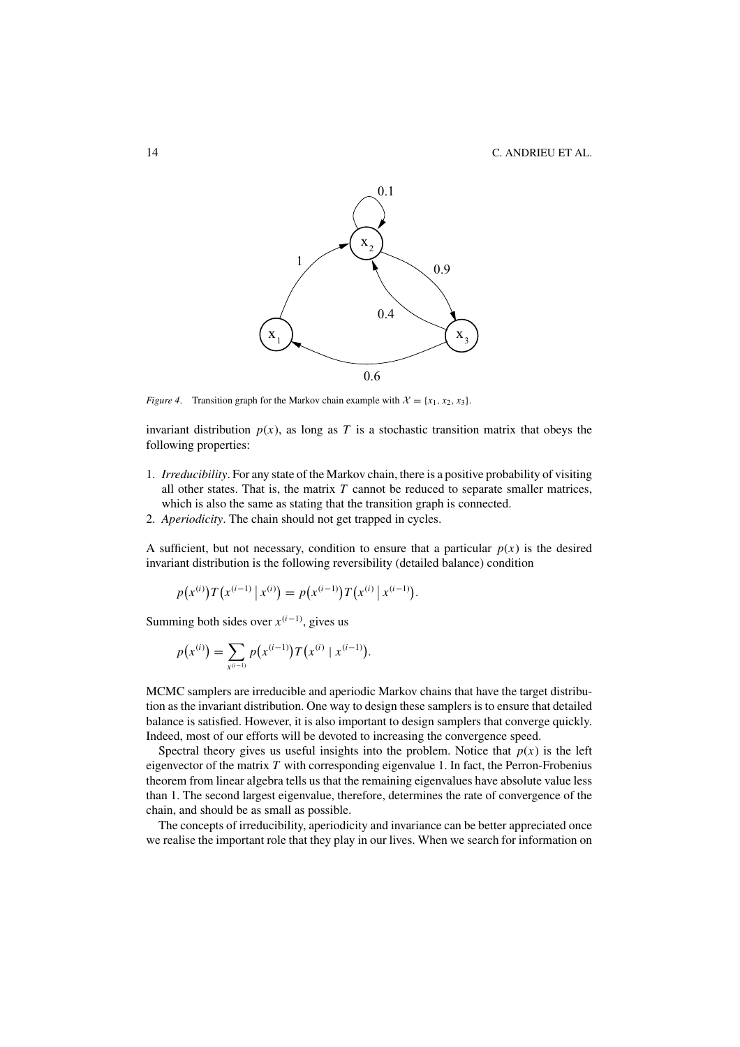

*Figure 4.* Transition graph for the Markov chain example with  $\mathcal{X} = \{x_1, x_2, x_3\}$ .

invariant distribution  $p(x)$ , as long as *T* is a stochastic transition matrix that obeys the following properties:

- 1. *Irreducibility*. For any state of the Markov chain, there is a positive probability of visiting all other states. That is, the matrix  $T$  cannot be reduced to separate smaller matrices, which is also the same as stating that the transition graph is connected.
- 2. *Aperiodicity*. The chain should not get trapped in cycles.

A sufficient, but not necessary, condition to ensure that a particular  $p(x)$  is the desired invariant distribution is the following reversibility (detailed balance) condition

$$
p(x^{(i)})T(x^{(i-1)} | x^{(i)}) = p(x^{(i-1)})T(x^{(i)} | x^{(i-1)}).
$$

Summing both sides over  $x^{(i-1)}$ , gives us

$$
p(x^{(i)}) = \sum_{x^{(i-1)}} p(x^{(i-1)}) T(x^{(i)} | x^{(i-1)}).
$$

MCMC samplers are irreducible and aperiodic Markov chains that have the target distribution as the invariant distribution. One way to design these samplers is to ensure that detailed balance is satisfied. However, it is also important to design samplers that converge quickly. Indeed, most of our efforts will be devoted to increasing the convergence speed.

Spectral theory gives us useful insights into the problem. Notice that  $p(x)$  is the left eigenvector of the matrix *T* with corresponding eigenvalue 1. In fact, the Perron-Frobenius theorem from linear algebra tells us that the remaining eigenvalues have absolute value less than 1. The second largest eigenvalue, therefore, determines the rate of convergence of the chain, and should be as small as possible.

The concepts of irreducibility, aperiodicity and invariance can be better appreciated once we realise the important role that they play in our lives. When we search for information on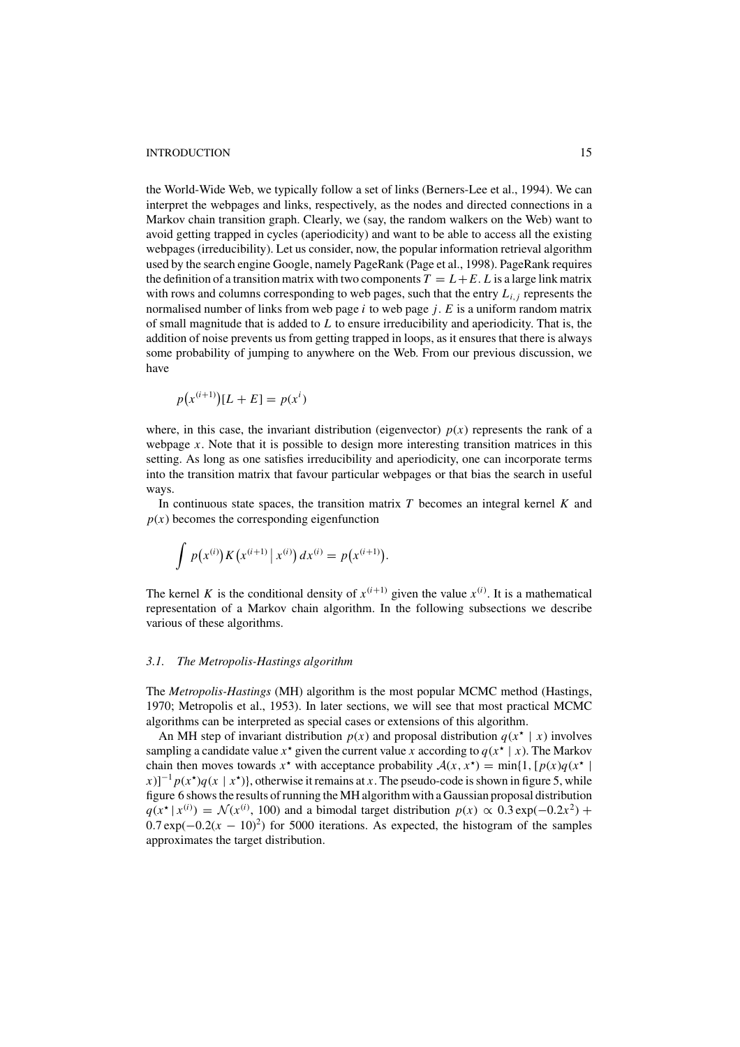the World-Wide Web, we typically follow a set of links (Berners-Lee et al., 1994). We can interpret the webpages and links, respectively, as the nodes and directed connections in a Markov chain transition graph. Clearly, we (say, the random walkers on the Web) want to avoid getting trapped in cycles (aperiodicity) and want to be able to access all the existing webpages (irreducibility). Let us consider, now, the popular information retrieval algorithm used by the search engine Google, namely PageRank (Page et al., 1998). PageRank requires the definition of a transition matrix with two components  $T = L + E$ . *L* is a large link matrix with rows and columns corresponding to web pages, such that the entry  $L_{i,j}$  represents the normalised number of links from web page *i* to web page *j*. *E* is a uniform random matrix of small magnitude that is added to *L* to ensure irreducibility and aperiodicity. That is, the addition of noise prevents us from getting trapped in loops, as it ensures that there is always some probability of jumping to anywhere on the Web. From our previous discussion, we have

$$
p(x^{(i+1)})[L+E] = p(x^i)
$$

where, in this case, the invariant distribution (eigenvector)  $p(x)$  represents the rank of a webpage *x*. Note that it is possible to design more interesting transition matrices in this setting. As long as one satisfies irreducibility and aperiodicity, one can incorporate terms into the transition matrix that favour particular webpages or that bias the search in useful ways.

In continuous state spaces, the transition matrix *T* becomes an integral kernel *K* and  $p(x)$  becomes the corresponding eigenfunction

$$
\int p(x^{(i)}) K(x^{(i+1)} | x^{(i)}) dx^{(i)} = p(x^{(i+1)}).
$$

The kernel *K* is the conditional density of  $x^{(i+1)}$  given the value  $x^{(i)}$ . It is a mathematical representation of a Markov chain algorithm. In the following subsections we describe various of these algorithms.

#### *3.1. The Metropolis-Hastings algorithm*

The *Metropolis-Hastings* (MH) algorithm is the most popular MCMC method (Hastings, 1970; Metropolis et al., 1953). In later sections, we will see that most practical MCMC algorithms can be interpreted as special cases or extensions of this algorithm.

An MH step of invariant distribution  $p(x)$  and proposal distribution  $q(x^* | x)$  involves sampling a candidate value  $x^*$  given the current value *x* according to  $q(x^* | x)$ . The Markov chain then moves towards  $x^*$  with acceptance probability  $A(x, x^*) = \min\{1, [p(x)q(x^*)]$  $f(x)$ ]<sup>-1</sup>  $p(x^*)q(x | x^*)$ }, otherwise it remains at *x*. The pseudo-code is shown in figure 5, while figure 6 shows the results of running the MH algorithm with a Gaussian proposal distribution  $q(x^* | x^{(i)}) = \mathcal{N}(x^{(i)}, 100)$  and a bimodal target distribution  $p(x) \propto 0.3 \exp(-0.2x^2) +$  $0.7 \exp(-0.2(x - 10)^2)$  for 5000 iterations. As expected, the histogram of the samples approximates the target distribution.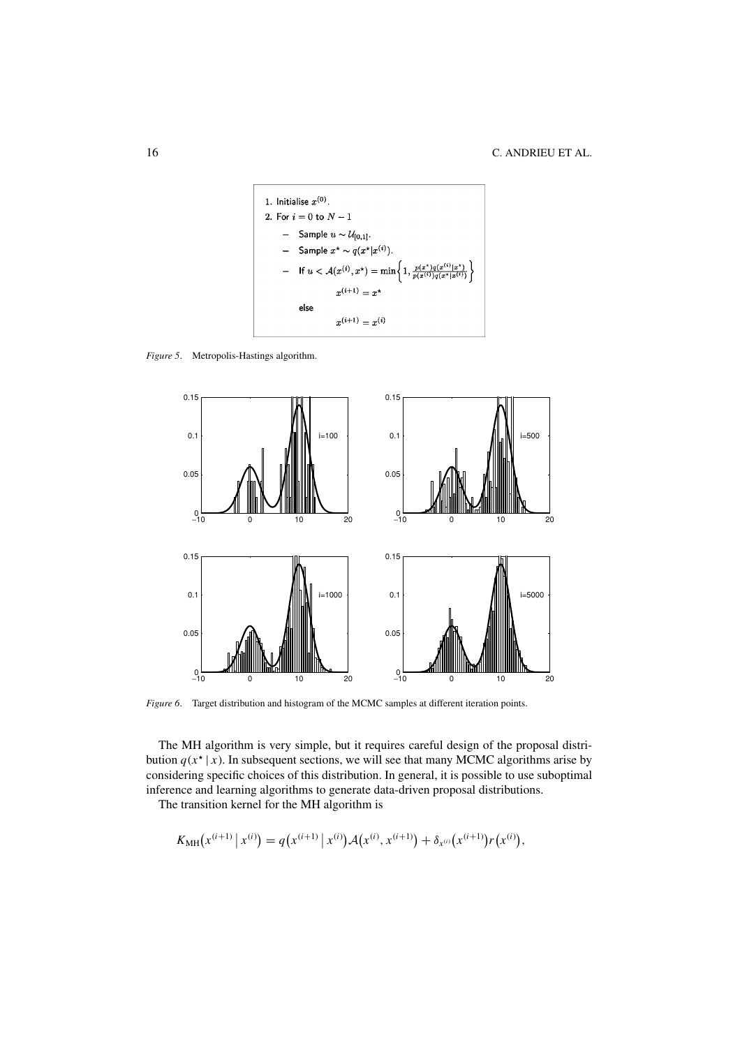

*Figure 5*. Metropolis-Hastings algorithm.



*Figure 6*. Target distribution and histogram of the MCMC samples at different iteration points.

The MH algorithm is very simple, but it requires careful design of the proposal distribution  $q(x^* | x)$ . In subsequent sections, we will see that many MCMC algorithms arise by considering specific choices of this distribution. In general, it is possible to use suboptimal inference and learning algorithms to generate data-driven proposal distributions.

The transition kernel for the MH algorithm is

$$
K_{\text{MH}}(x^{(i+1)} | x^{(i)}) = q(x^{(i+1)} | x^{(i)}) \mathcal{A}(x^{(i)}, x^{(i+1)}) + \delta_{x^{(i)}}(x^{(i+1)}) r(x^{(i)}),
$$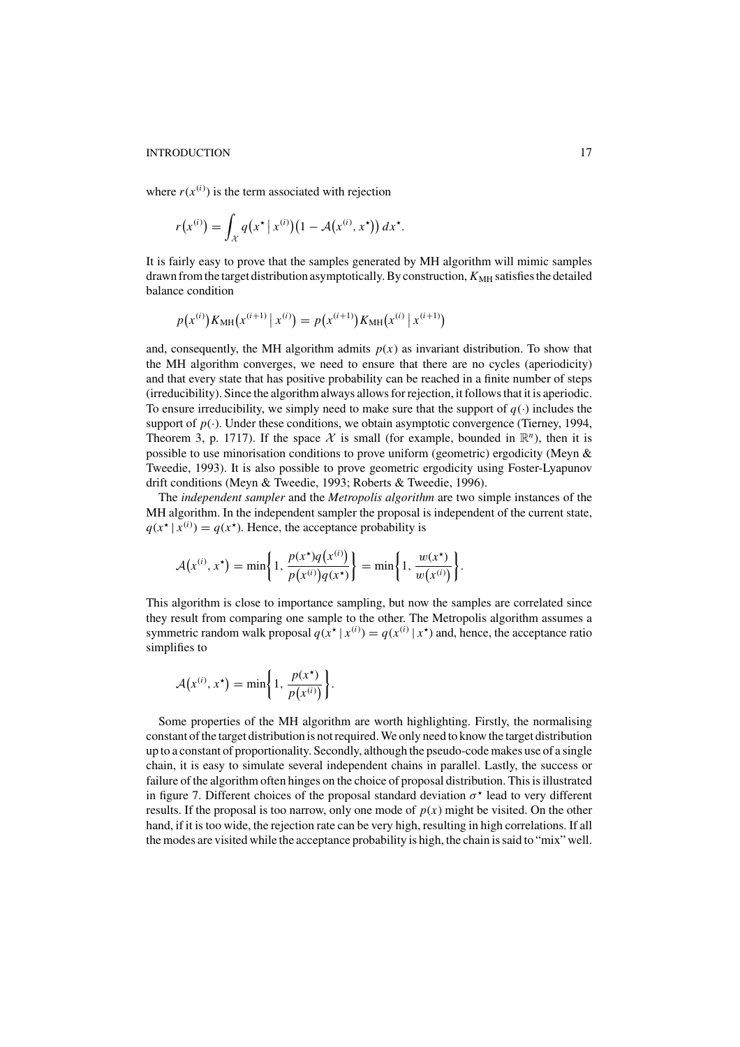where  $r(x^{(i)})$  is the term associated with rejection

$$
r(x^{(i)}) = \int_{\mathcal{X}} q(x^{\star} | x^{(i)}) (1 - \mathcal{A}(x^{(i)}, x^{\star})) dx^{\star}.
$$

It is fairly easy to prove that the samples generated by MH algorithm will mimic samples drawn from the target distribution asymptotically. By construction,  $K_{MH}$  satisfies the detailed balance condition

$$
p(x^{(i)}) K_{\text{MH}}(x^{(i+1)} | x^{(i)}) = p(x^{(i+1)}) K_{\text{MH}}(x^{(i)} | x^{(i+1)})
$$

and, consequently, the MH algorithm admits  $p(x)$  as invariant distribution. To show that the MH algorithm converges, we need to ensure that there are no cycles (aperiodicity) and that every state that has positive probability can be reached in a finite number of steps (irreducibility). Since the algorithm always allows for rejection, it follows that it is aperiodic. To ensure irreducibility, we simply need to make sure that the support of  $q(\cdot)$  includes the support of  $p(.)$ . Under these conditions, we obtain asymptotic convergence (Tierney, 1994, Theorem 3, p. 1717). If the space  $\mathcal X$  is small (for example, bounded in  $\mathbb R^n$ ), then it is possible to use minorisation conditions to prove uniform (geometric) ergodicity (Meyn & Tweedie, 1993). It is also possible to prove geometric ergodicity using Foster-Lyapunov drift conditions (Meyn & Tweedie, 1993; Roberts & Tweedie, 1996).

The *independent sampler* and the *Metropolis algorithm* are two simple instances of the MH algorithm. In the independent sampler the proposal is independent of the current state,  $q(x^{\star} | x^{(i)}) = q(x^{\star})$ . Hence, the acceptance probability is

$$
\mathcal{A}(x^{(i)}, x^{\star}) = \min\bigg\{1, \frac{p(x^{\star})q(x^{(i)})}{p(x^{(i)})q(x^{\star})}\bigg\} = \min\bigg\{1, \frac{w(x^{\star})}{w(x^{(i)})}\bigg\}.
$$

This algorithm is close to importance sampling, but now the samples are correlated since they result from comparing one sample to the other. The Metropolis algorithm assumes a symmetric random walk proposal  $q(x^* | x^{(i)}) = q(x^{(i)} | x^*)$  and, hence, the acceptance ratio simplifies to

$$
\mathcal{A}(x^{(i)}, x^{\star}) = \min\bigg\{1, \frac{p(x^{\star})}{p(x^{(i)})}\bigg\}.
$$

Some properties of the MH algorithm are worth highlighting. Firstly, the normalising constant of the target distribution is not required. We only need to know the target distribution up to a constant of proportionality. Secondly, although the pseudo-code makes use of a single chain, it is easy to simulate several independent chains in parallel. Lastly, the success or failure of the algorithm often hinges on the choice of proposal distribution. This is illustrated in figure 7. Different choices of the proposal standard deviation  $\sigma^*$  lead to very different results. If the proposal is too narrow, only one mode of  $p(x)$  might be visited. On the other hand, if it is too wide, the rejection rate can be very high, resulting in high correlations. If all the modes are visited while the acceptance probability is high, the chain is said to "mix" well.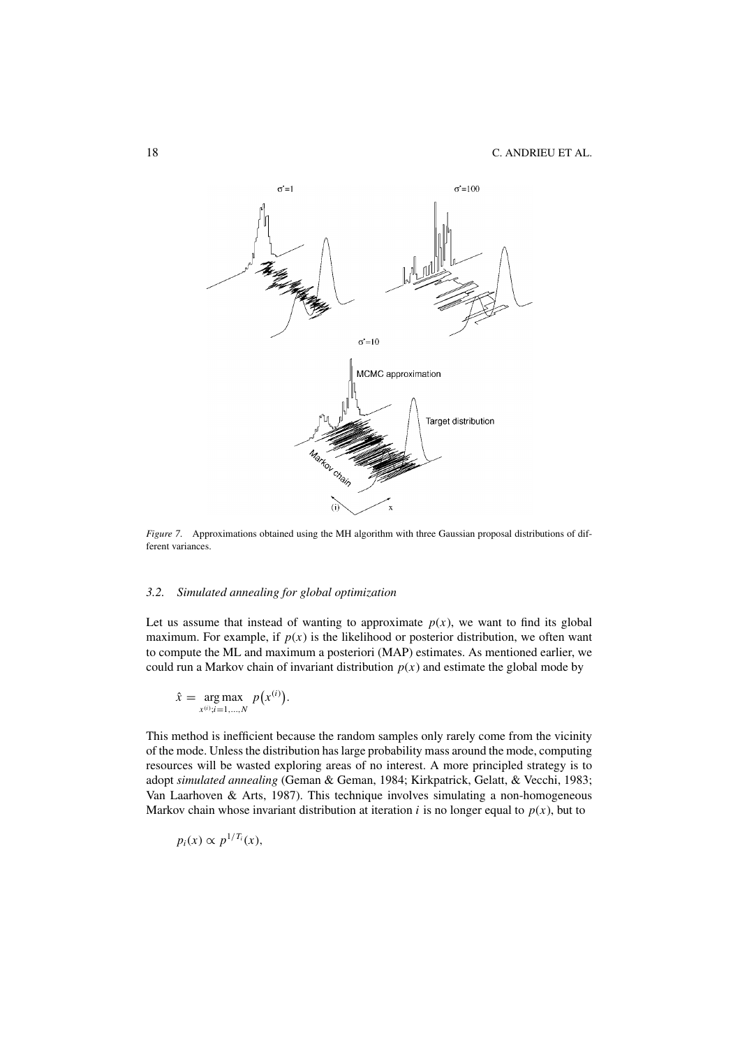

*Figure 7*. Approximations obtained using the MH algorithm with three Gaussian proposal distributions of different variances.

## *3.2. Simulated annealing for global optimization*

Let us assume that instead of wanting to approximate  $p(x)$ , we want to find its global maximum. For example, if  $p(x)$  is the likelihood or posterior distribution, we often want to compute the ML and maximum a posteriori (MAP) estimates. As mentioned earlier, we could run a Markov chain of invariant distribution  $p(x)$  and estimate the global mode by

$$
\hat{x} = \underset{x^{(i)}; i=1,\ldots,N}{\arg \max} p(x^{(i)}).
$$

This method is inefficient because the random samples only rarely come from the vicinity of the mode. Unless the distribution has large probability mass around the mode, computing resources will be wasted exploring areas of no interest. A more principled strategy is to adopt *simulated annealing* (Geman & Geman, 1984; Kirkpatrick, Gelatt, & Vecchi, 1983; Van Laarhoven & Arts, 1987). This technique involves simulating a non-homogeneous Markov chain whose invariant distribution at iteration *i* is no longer equal to  $p(x)$ , but to

$$
p_i(x) \propto p^{1/T_i}(x),
$$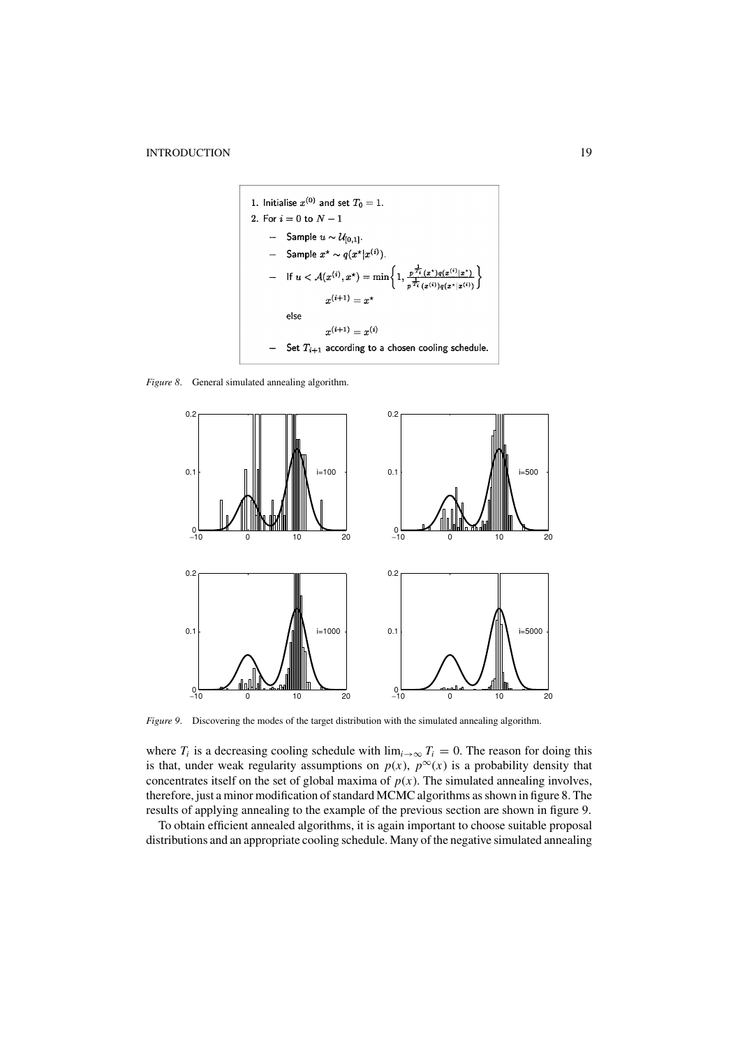

*Figure 8*. General simulated annealing algorithm.



*Figure 9*. Discovering the modes of the target distribution with the simulated annealing algorithm.

where  $T_i$  is a decreasing cooling schedule with  $\lim_{i\to\infty} T_i = 0$ . The reason for doing this is that, under weak regularity assumptions on  $p(x)$ ,  $p^{\infty}(x)$  is a probability density that concentrates itself on the set of global maxima of  $p(x)$ . The simulated annealing involves, therefore, just a minor modification of standard MCMC algorithms as shown in figure 8. The results of applying annealing to the example of the previous section are shown in figure 9.

To obtain efficient annealed algorithms, it is again important to choose suitable proposal distributions and an appropriate cooling schedule. Many of the negative simulated annealing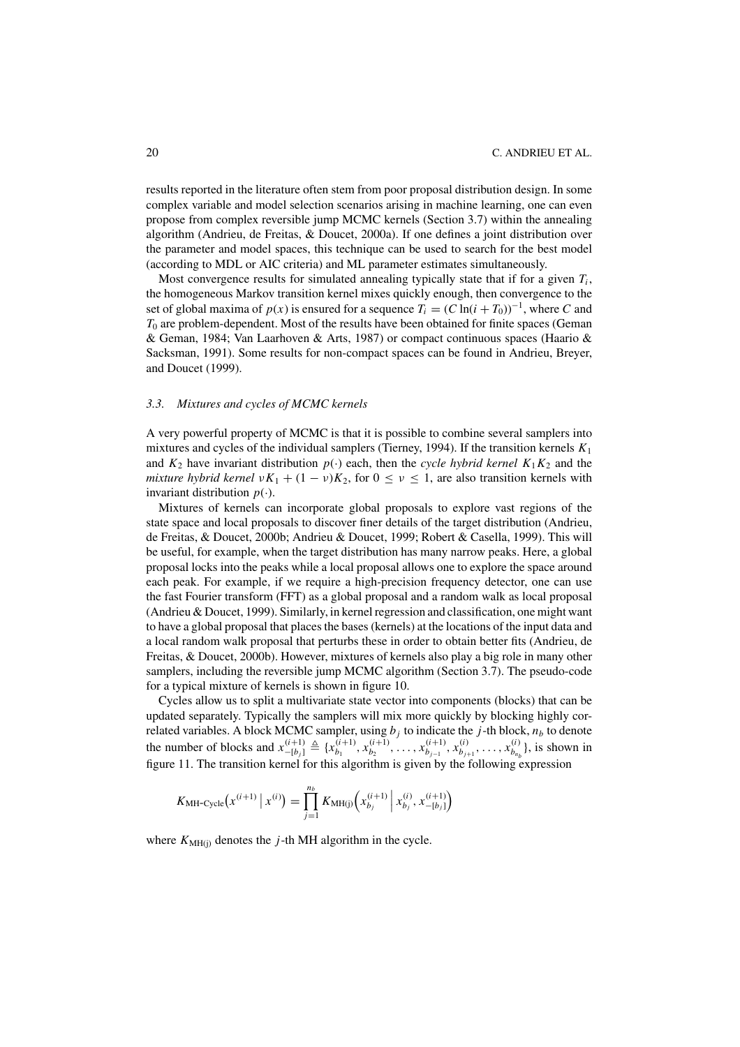results reported in the literature often stem from poor proposal distribution design. In some complex variable and model selection scenarios arising in machine learning, one can even propose from complex reversible jump MCMC kernels (Section 3.7) within the annealing algorithm (Andrieu, de Freitas, & Doucet, 2000a). If one defines a joint distribution over the parameter and model spaces, this technique can be used to search for the best model (according to MDL or AIC criteria) and ML parameter estimates simultaneously.

Most convergence results for simulated annealing typically state that if for a given  $T_i$ , the homogeneous Markov transition kernel mixes quickly enough, then convergence to the set of global maxima of  $p(x)$  is ensured for a sequence  $T_i = (C \ln(i + T_0))^{-1}$ , where *C* and *T*<sup>0</sup> are problem-dependent. Most of the results have been obtained for finite spaces (Geman & Geman, 1984; Van Laarhoven & Arts, 1987) or compact continuous spaces (Haario & Sacksman, 1991). Some results for non-compact spaces can be found in Andrieu, Breyer, and Doucet (1999).

## *3.3. Mixtures and cycles of MCMC kernels*

A very powerful property of MCMC is that it is possible to combine several samplers into mixtures and cycles of the individual samplers (Tierney, 1994). If the transition kernels *K*<sup>1</sup> and  $K_2$  have invariant distribution  $p(\cdot)$  each, then the *cycle hybrid kernel*  $K_1K_2$  and the *mixture hybrid kernel*  $\nu K_1 + (1 - \nu)K_2$ , for  $0 \le \nu \le 1$ , are also transition kernels with invariant distribution  $p(\cdot)$ .

Mixtures of kernels can incorporate global proposals to explore vast regions of the state space and local proposals to discover finer details of the target distribution (Andrieu, de Freitas, & Doucet, 2000b; Andrieu & Doucet, 1999; Robert & Casella, 1999). This will be useful, for example, when the target distribution has many narrow peaks. Here, a global proposal locks into the peaks while a local proposal allows one to explore the space around each peak. For example, if we require a high-precision frequency detector, one can use the fast Fourier transform (FFT) as a global proposal and a random walk as local proposal (Andrieu & Doucet, 1999). Similarly, in kernel regression and classification, one might want to have a global proposal that places the bases (kernels) at the locations of the input data and a local random walk proposal that perturbs these in order to obtain better fits (Andrieu, de Freitas, & Doucet, 2000b). However, mixtures of kernels also play a big role in many other samplers, including the reversible jump MCMC algorithm (Section 3.7). The pseudo-code for a typical mixture of kernels is shown in figure 10.

Cycles allow us to split a multivariate state vector into components (blocks) that can be updated separately. Typically the samplers will mix more quickly by blocking highly correlated variables. A block MCMC sampler, using  $b_j$  to indicate the *j*-th block,  $n_b$  to denote the number of blocks and  $x_{-[b_j]}^{(i+1)} \triangleq \{x_{b_1}^{(i+1)}, x_{b_2}^{(i+1)}, \dots, x_{b_{j-1}}^{(i+1)}, x_{b_{j+1}}^{(i)}, \dots, x_{b_{n_b}}^{(i)}\}$ , is shown in figure 11. The transition kernel for this algorithm is given by the following expression

$$
K_{\text{MH-Cycle}}(x^{(i+1)} | x^{(i)}) = \prod_{j=1}^{n_b} K_{\text{MH}(j)}(x_{b_j}^{(i+1)} | x_{b_j}^{(i)}, x_{-[b_j]}^{(i+1)})
$$

where  $K_{\text{MH}(i)}$  denotes the *j*-th MH algorithm in the cycle.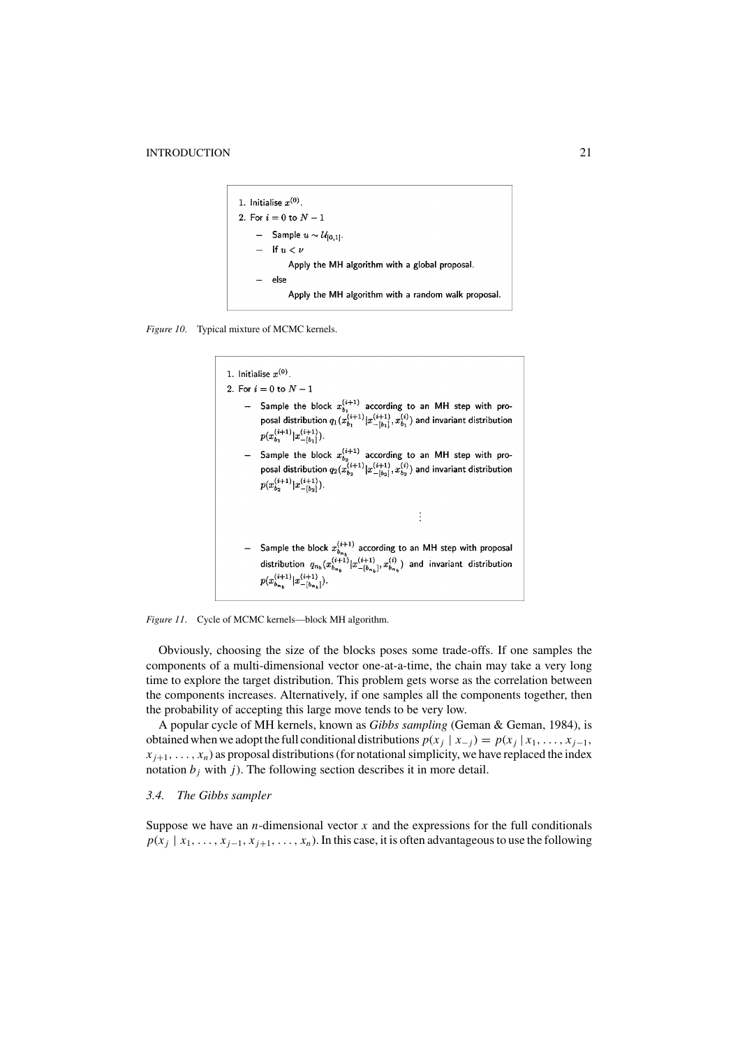```
1. Initialise x^{(0)}.
2. For i = 0 to N - 1Sample u \sim \mathcal{U}_{[0,1]}.
         If u < \nuApply the MH algorithm with a global proposal.
         else
             Apply the MH algorithm with a random walk proposal.
```
*Figure 10*. Typical mixture of MCMC kernels.





Obviously, choosing the size of the blocks poses some trade-offs. If one samples the components of a multi-dimensional vector one-at-a-time, the chain may take a very long time to explore the target distribution. This problem gets worse as the correlation between the components increases. Alternatively, if one samples all the components together, then the probability of accepting this large move tends to be very low.

A popular cycle of MH kernels, known as *Gibbs sampling* (Geman & Geman, 1984), is obtained when we adopt the full conditional distributions  $p(x_j | x_{-j}) = p(x_j | x_1, \ldots, x_{j-1},$  $x_{i+1}, \ldots, x_n$ ) as proposal distributions (for notational simplicity, we have replaced the index notation  $b_j$  with  $j$ ). The following section describes it in more detail.

# *3.4. The Gibbs sampler*

Suppose we have an *n*-dimensional vector  $x$  and the expressions for the full conditionals  $p(x_j | x_1, \ldots, x_{j-1}, x_{j+1}, \ldots, x_n)$ . In this case, it is often advantageous to use the following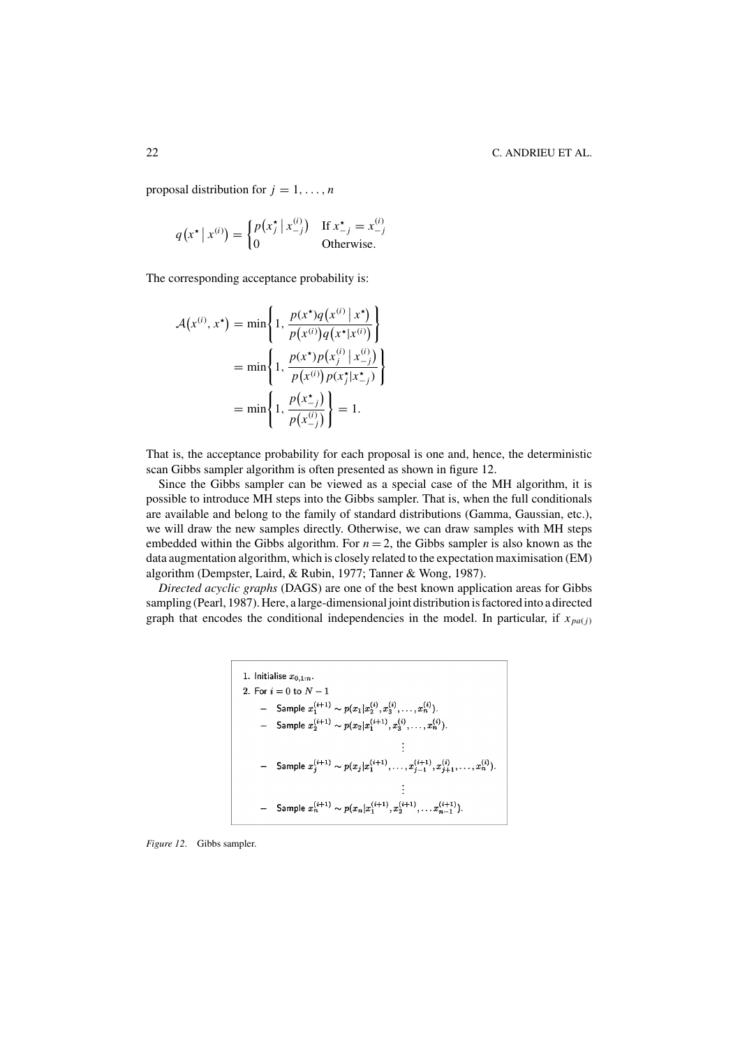proposal distribution for  $j = 1, \ldots, n$ 

$$
q(x^* | x^{(i)}) = \begin{cases} p(x_j^* | x_{-j}^{(i)}) & \text{If } x_{-j}^* = x_{-j}^{(i)} \\ 0 & \text{Otherwise.} \end{cases}
$$

The corresponding acceptance probability is:

$$
\mathcal{A}(x^{(i)}, x^*) = \min\left\{1, \frac{p(x^*)q(x^{(i)} | x^*)}{p(x^{(i)})q(x^* | x^{(i)})}\right\}
$$

$$
= \min\left\{1, \frac{p(x^*)p(x_j^{(i)} | x_{-j}^{(i)})}{p(x^{(i)})p(x_j^* | x_{-j}^*)}\right\}
$$

$$
= \min\left\{1, \frac{p(x^*)}{p(x_{-j}^{(i)})}\right\} = 1.
$$

That is, the acceptance probability for each proposal is one and, hence, the deterministic scan Gibbs sampler algorithm is often presented as shown in figure 12.

Since the Gibbs sampler can be viewed as a special case of the MH algorithm, it is possible to introduce MH steps into the Gibbs sampler. That is, when the full conditionals are available and belong to the family of standard distributions (Gamma, Gaussian, etc.), we will draw the new samples directly. Otherwise, we can draw samples with MH steps embedded within the Gibbs algorithm. For  $n = 2$ , the Gibbs sampler is also known as the data augmentation algorithm, which is closely related to the expectation maximisation (EM) algorithm (Dempster, Laird, & Rubin, 1977; Tanner & Wong, 1987).

*Directed acyclic graphs* (DAGS) are one of the best known application areas for Gibbs sampling (Pearl, 1987). Here, a large-dimensional joint distribution is factored into a directed graph that encodes the conditional independencies in the model. In particular, if  $x_{pa(i)}$ 

1. Initialize 
$$
x_{0,1:n}
$$
.  
\n2. For  $i = 0$  to  $N - 1$   
\n $\qquad -$  Sample  $x_1^{(i+1)} \sim p(x_1|x_2^{(i)}, x_3^{(i)}, \ldots, x_n^{(i)})$ .  
\n $\qquad -$  Sample  $x_2^{(i+1)} \sim p(x_2|x_1^{(i+1)}, x_3^{(i)}, \ldots, x_n^{(i)})$ .  
\n $\qquad \qquad \vdots$   
\n $\qquad -$  Sample  $x_j^{(i+1)} \sim p(x_j|x_1^{(i+1)}, \ldots, x_{j-1}^{(i+1)}, x_{j+1}^{(i)}, \ldots, x_n^{(i)})$ .  
\n $\qquad \qquad \vdots$   
\n $\qquad -$  Sample  $x_n^{(i+1)} \sim p(x_n|x_1^{(i+1)}, x_2^{(i+1)}, \ldots, x_{n-1}^{(i+1)})$ .

*Figure 12*. Gibbs sampler.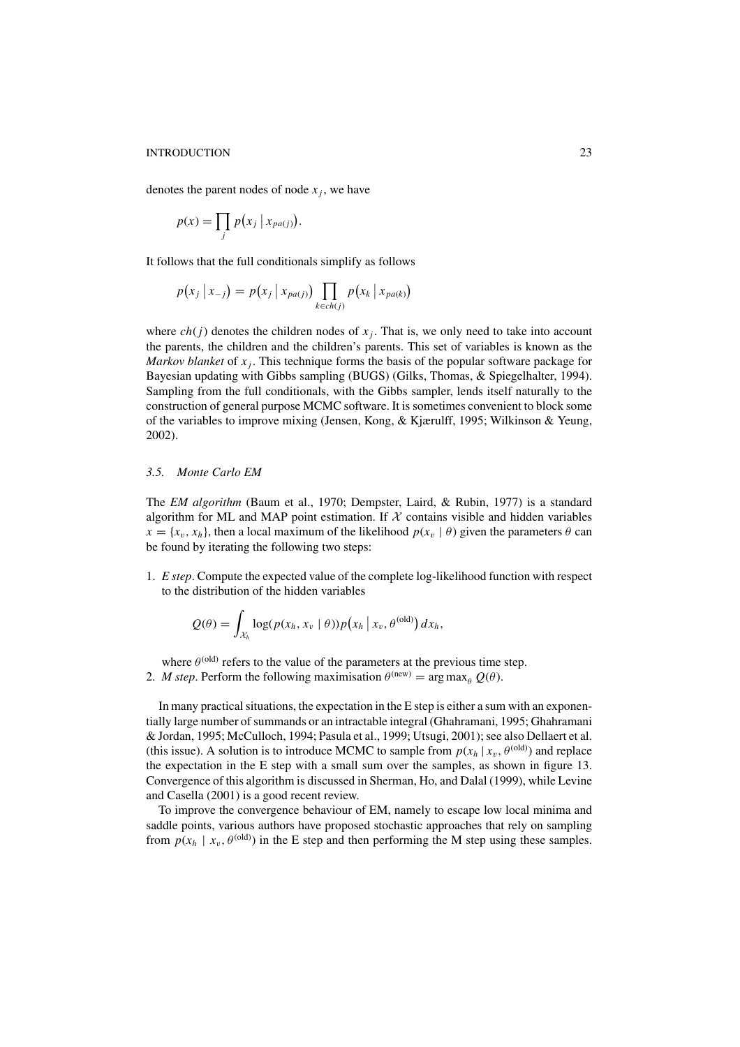denotes the parent nodes of node  $x_i$ , we have

$$
p(x) = \prod_j p(x_j \mid x_{pa(j)}).
$$

It follows that the full conditionals simplify as follows

$$
p(x_j | x_{-j}) = p(x_j | x_{pa(j)}) \prod_{k \in ch(j)} p(x_k | x_{pa(k)})
$$

where  $ch(j)$  denotes the children nodes of  $x_j$ . That is, we only need to take into account the parents, the children and the children's parents. This set of variables is known as the *Markov blanket* of  $x_i$ . This technique forms the basis of the popular software package for Bayesian updating with Gibbs sampling (BUGS) (Gilks, Thomas, & Spiegelhalter, 1994). Sampling from the full conditionals, with the Gibbs sampler, lends itself naturally to the construction of general purpose MCMC software. It is sometimes convenient to block some of the variables to improve mixing (Jensen, Kong, & Kjærulff, 1995; Wilkinson & Yeung, 2002).

# *3.5. Monte Carlo EM*

The *EM algorithm* (Baum et al., 1970; Dempster, Laird, & Rubin, 1977) is a standard algorithm for ML and MAP point estimation. If  $X$  contains visible and hidden variables  $x = \{x_v, x_h\}$ , then a local maximum of the likelihood  $p(x_v | \theta)$  given the parameters  $\theta$  can be found by iterating the following two steps:

1. *E step*. Compute the expected value of the complete log-likelihood function with respect to the distribution of the hidden variables

$$
Q(\theta) = \int_{\mathcal{X}_h} \log(p(x_h, x_v \mid \theta)) p(x_h \mid x_v, \theta^{(\text{old})}) dx_h,
$$

where  $\theta^{(old)}$  refers to the value of the parameters at the previous time step. 2. *M step*. Perform the following maximisation  $\theta^{(\text{new})} = \arg \max_{\theta} Q(\theta)$ .

In many practical situations, the expectation in the E step is either a sum with an exponentially large number of summands or an intractable integral (Ghahramani, 1995; Ghahramani & Jordan, 1995; McCulloch, 1994; Pasula et al., 1999; Utsugi, 2001); see also Dellaert et al. (this issue). A solution is to introduce MCMC to sample from  $p(x_h | x_v, \theta^{(old)})$  and replace the expectation in the E step with a small sum over the samples, as shown in figure 13. Convergence of this algorithm is discussed in Sherman, Ho, and Dalal (1999), while Levine and Casella (2001) is a good recent review.

To improve the convergence behaviour of EM, namely to escape low local minima and saddle points, various authors have proposed stochastic approaches that rely on sampling from  $p(x_h | x_v, \theta^{(old)})$  in the E step and then performing the M step using these samples.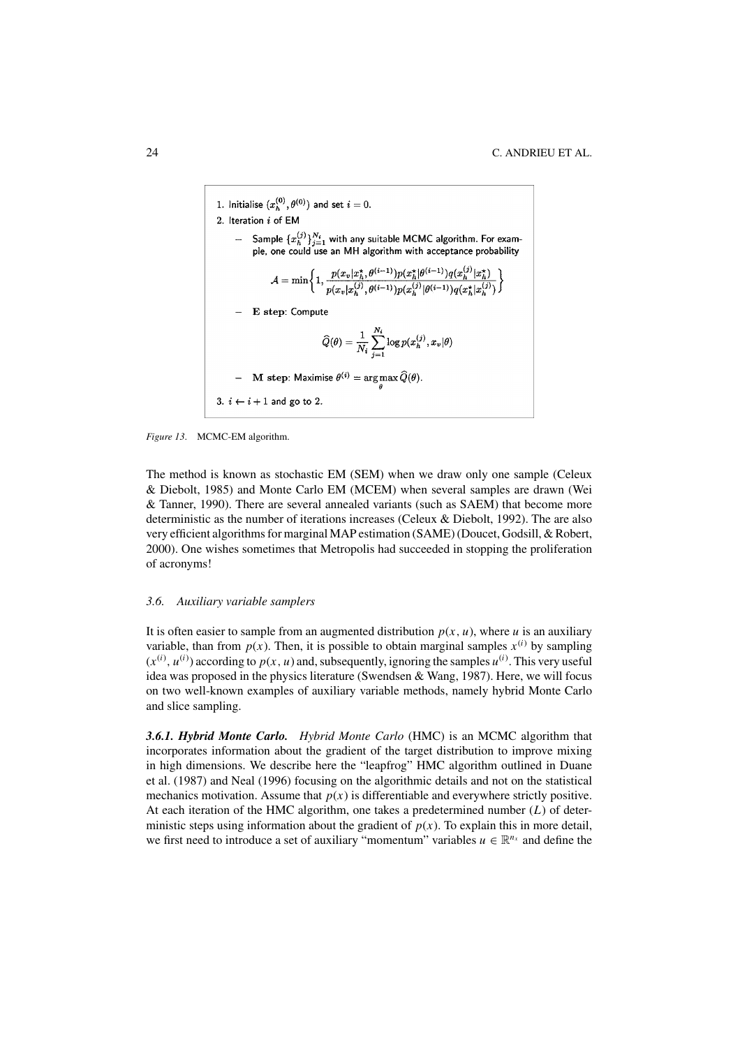1. Initialize 
$$
(x_h^{(0)}, \theta^{(0)})
$$
 and set  $i = 0$ .  
\n2. Iteration *i* of EM  
\n- Sample  $\{x_h^{(j)}\}_{j=1}^{N_i}$  with any suitable MCMC algorithm. For example,  
\nthe, one could use an MH algorithm with acceptance probability  
\n
$$
A = \min \left\{ 1, \frac{p(x_v | x_h^*, \theta^{(i-1)}) p(x_h^* | \theta^{(i-1)}) q(x_h^{(j)} | x_h^*)}{p(x_v | x_h^{(j)}, \theta^{(i-1)}) p(x_h^{(j)} | \theta^{(i-1)}) q(x_h^* | x_h^{(j)})} \right\}
$$
\n- E step: Compute  
\n
$$
\widehat{Q}(\theta) = \frac{1}{N_i} \sum_{j=1}^{N_i} \log p(x_h^{(j)}, x_v | \theta)
$$
\n- M step: Maximise  $\theta^{(i)} = \arg \max \widehat{Q}(\theta)$ .  
\n3.  $i \leftarrow i + 1$  and go to 2.

#### *Figure 13*. MCMC-EM algorithm.

The method is known as stochastic EM (SEM) when we draw only one sample (Celeux & Diebolt, 1985) and Monte Carlo EM (MCEM) when several samples are drawn (Wei & Tanner, 1990). There are several annealed variants (such as SAEM) that become more deterministic as the number of iterations increases (Celeux & Diebolt, 1992). The are also very efficient algorithms for marginal MAP estimation (SAME) (Doucet, Godsill, & Robert, 2000). One wishes sometimes that Metropolis had succeeded in stopping the proliferation of acronyms!

## *3.6. Auxiliary variable samplers*

It is often easier to sample from an augmented distribution  $p(x, u)$ , where *u* is an auxiliary variable, than from  $p(x)$ . Then, it is possible to obtain marginal samples  $x^{(i)}$  by sampling  $(x^{(i)}, u^{(i)})$  according to  $p(x, u)$  and, subsequently, ignoring the samples  $u^{(i)}$ . This very useful idea was proposed in the physics literature (Swendsen & Wang, 1987). Here, we will focus on two well-known examples of auxiliary variable methods, namely hybrid Monte Carlo and slice sampling.

*3.6.1. Hybrid Monte Carlo. Hybrid Monte Carlo* (HMC) is an MCMC algorithm that incorporates information about the gradient of the target distribution to improve mixing in high dimensions. We describe here the "leapfrog" HMC algorithm outlined in Duane et al. (1987) and Neal (1996) focusing on the algorithmic details and not on the statistical mechanics motivation. Assume that  $p(x)$  is differentiable and everywhere strictly positive. At each iteration of the HMC algorithm, one takes a predetermined number (*L*) of deterministic steps using information about the gradient of  $p(x)$ . To explain this in more detail, we first need to introduce a set of auxiliary "momentum" variables  $u \in \mathbb{R}^{n_x}$  and define the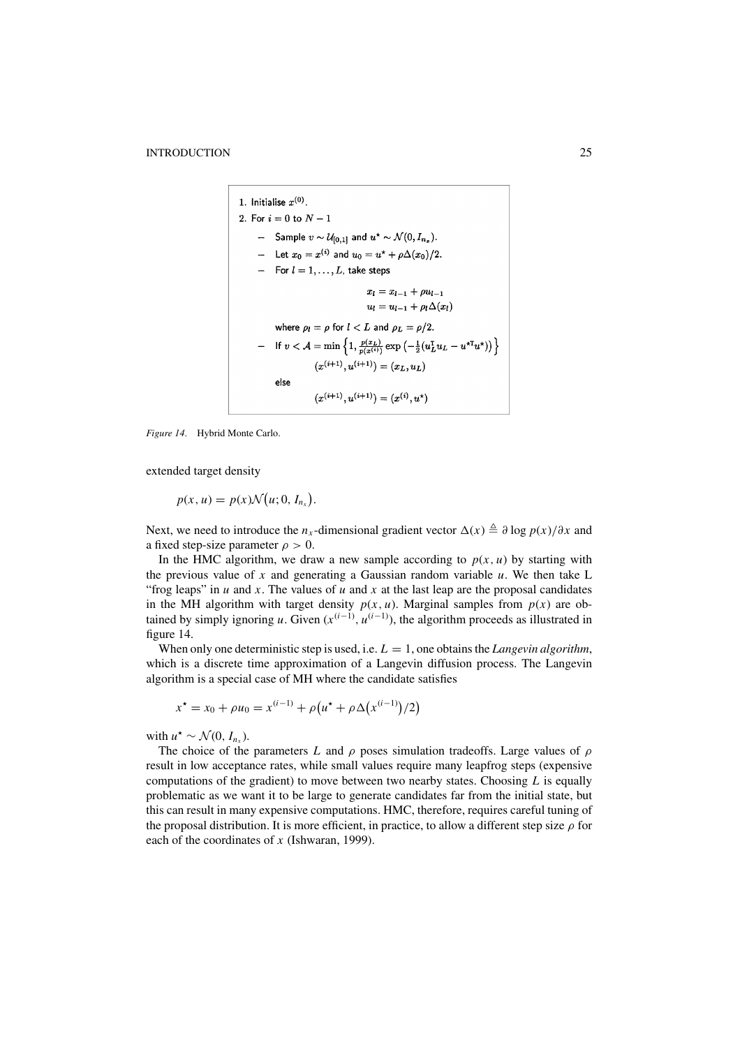1. Initialize 
$$
x^{(0)}
$$
.  
\n2. For  $i = 0$  to  $N - 1$   
\n $\qquad -$  Sample  $v \sim \mathcal{U}_{[0,1]}$  and  $u^* \sim \mathcal{N}(0, I_{n_z})$ .  
\n $\qquad -$  Let  $x_0 = x^{(i)}$  and  $u_0 = u^* + \rho \Delta(x_0)/2$ .  
\n $\qquad -$  For  $l = 1, ..., L$ , take steps  
\n $x_l = x_{l-1} + \rho u_{l-1}$   
\n $u_l = u_{l-1} + \rho_l \Delta(x_l)$   
\nwhere  $\rho_l = \rho$  for  $l < L$  and  $\rho_L = \rho/2$ .  
\n $\qquad -$  If  $v < A = \min \left\{ 1, \frac{p(x_L)}{p(x^{(i)})} \exp \left( -\frac{1}{2} (u_L^T u_L - u^{*T} u^*) \right) \right\}$   
\n $(x^{(i+1)}, u^{(i+1)}) = (x_L, u_L)$   
\nelse  
\n $(x^{(i+1)}, u^{(i+1)}) = (x^{(i)}, u^*)$ 

*Figure 14*. Hybrid Monte Carlo.

extended target density

 $p(x, u) = p(x) \mathcal{N}(u; 0, I_{n_x}).$ 

Next, we need to introduce the *n<sub>x</sub>*-dimensional gradient vector  $\Delta(x) \triangleq \partial \log p(x)/\partial x$  and a fixed step-size parameter  $\rho > 0$ .

In the HMC algorithm, we draw a new sample according to  $p(x, u)$  by starting with the previous value of  $x$  and generating a Gaussian random variable  $u$ . We then take L "frog leaps" in  $u$  and  $x$ . The values of  $u$  and  $x$  at the last leap are the proposal candidates in the MH algorithm with target density  $p(x, u)$ . Marginal samples from  $p(x)$  are obtained by simply ignoring *u*. Given  $(x^{(i-1)}, u^{(i-1)})$ , the algorithm proceeds as illustrated in figure 14.

When only one deterministic step is used, i.e.  $L = 1$ , one obtains the *Langevin algorithm*, which is a discrete time approximation of a Langevin diffusion process. The Langevin algorithm is a special case of MH where the candidate satisfies

$$
x^* = x_0 + \rho u_0 = x^{(i-1)} + \rho (u^* + \rho \Delta (x^{(i-1)})/2)
$$

with  $u^* \sim \mathcal{N}(0, I_{n_x})$ .

The choice of the parameters *L* and  $\rho$  poses simulation tradeoffs. Large values of  $\rho$ result in low acceptance rates, while small values require many leapfrog steps (expensive computations of the gradient) to move between two nearby states. Choosing *L* is equally problematic as we want it to be large to generate candidates far from the initial state, but this can result in many expensive computations. HMC, therefore, requires careful tuning of the proposal distribution. It is more efficient, in practice, to allow a different step size  $\rho$  for each of the coordinates of *x* (Ishwaran, 1999).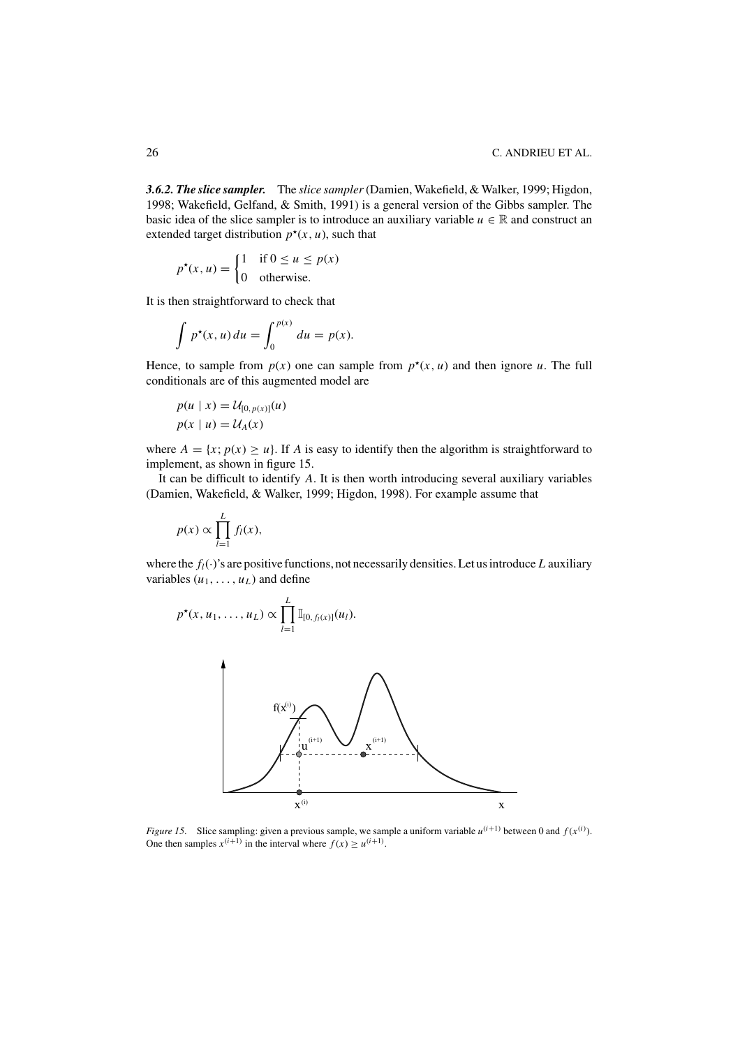*3.6.2. The slice sampler.* The *slice sampler*(Damien, Wakefield, & Walker, 1999; Higdon, 1998; Wakefield, Gelfand, & Smith, 1991) is a general version of the Gibbs sampler. The basic idea of the slice sampler is to introduce an auxiliary variable  $u \in \mathbb{R}$  and construct an extended target distribution  $p^*(x, u)$ , such that

$$
p^*(x, u) = \begin{cases} 1 & \text{if } 0 \le u \le p(x) \\ 0 & \text{otherwise.} \end{cases}
$$

It is then straightforward to check that

$$
\int p^{\star}(x, u) du = \int_0^{p(x)} du = p(x).
$$

Hence, to sample from  $p(x)$  one can sample from  $p^*(x, u)$  and then ignore *u*. The full conditionals are of this augmented model are

$$
p(u \mid x) = \mathcal{U}_{[0, p(x)]}(u)
$$

$$
p(x \mid u) = \mathcal{U}_A(x)
$$

where  $A = \{x; p(x) \ge u\}$ . If *A* is easy to identify then the algorithm is straightforward to implement, as shown in figure 15.

It can be difficult to identify *A*. It is then worth introducing several auxiliary variables (Damien, Wakefield, & Walker, 1999; Higdon, 1998). For example assume that

$$
p(x) \propto \prod_{l=1}^{L} f_l(x),
$$

where the  $f_l(\cdot)$ 's are positive functions, not necessarily densities. Let us introduce *L* auxiliary variables  $(u_1, \ldots, u_l)$  and define

$$
p^{\star}(x, u_1, ..., u_L) \propto \prod_{l=1}^{L} \mathbb{I}_{[0, f_l(x)]}(u_l).
$$



*Figure 15.* Slice sampling: given a previous sample, we sample a uniform variable  $u^{(i+1)}$  between 0 and  $f(x^{(i)})$ . One then samples  $x^{(i+1)}$  in the interval where  $f(x) \ge u^{(i+1)}$ .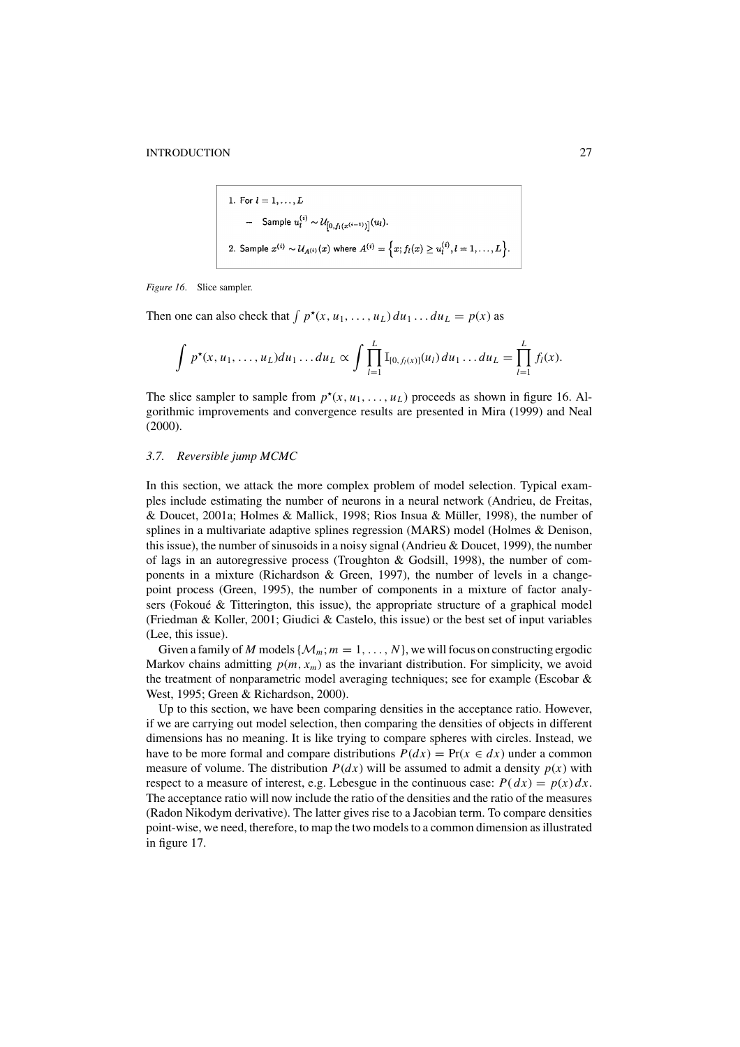1. For 
$$
l = 1, ..., L
$$
  
\n- Sample  $u_l^{(i)} \sim \mathcal{U}_{[0, f_l(x^{(i-1)})]}(u_l)$ .  
\n2. Sample  $x^{(i)} \sim \mathcal{U}_{A^{(i)}}(x)$  where  $A^{(i)} = \left\{ x; f_l(x) \ge u_l^{(i)}, l = 1, ..., L \right\}$ .

*Figure 16*. Slice sampler.

Then one can also check that  $\int p^*(x, u_1, \ldots, u_L) du_1 \ldots du_L = p(x)$  as

$$
\int p^{\star}(x, u_1, \ldots, u_L) du_1 \ldots du_L \propto \int \prod_{l=1}^L \mathbb{I}_{[0, f_l(x)]}(u_l) du_1 \ldots du_L = \prod_{l=1}^L f_l(x).
$$

The slice sampler to sample from  $p^*(x, u_1, \ldots, u_l)$  proceeds as shown in figure 16. Algorithmic improvements and convergence results are presented in Mira (1999) and Neal (2000).

## *3.7. Reversible jump MCMC*

In this section, we attack the more complex problem of model selection. Typical examples include estimating the number of neurons in a neural network (Andrieu, de Freitas, & Doucet, 2001a; Holmes & Mallick, 1998; Rios Insua & Müller, 1998), the number of splines in a multivariate adaptive splines regression (MARS) model (Holmes & Denison, this issue), the number of sinusoids in a noisy signal (Andrieu & Doucet, 1999), the number of lags in an autoregressive process (Troughton & Godsill, 1998), the number of components in a mixture (Richardson & Green, 1997), the number of levels in a changepoint process (Green, 1995), the number of components in a mixture of factor analysers (Fokoué  $&$  Titterington, this issue), the appropriate structure of a graphical model (Friedman & Koller, 2001; Giudici & Castelo, this issue) or the best set of input variables (Lee, this issue).

Given a family of *M* models  $\{M_m; m = 1, \ldots, N\}$ , we will focus on constructing ergodic Markov chains admitting  $p(m, x_m)$  as the invariant distribution. For simplicity, we avoid the treatment of nonparametric model averaging techniques; see for example (Escobar & West, 1995; Green & Richardson, 2000).

Up to this section, we have been comparing densities in the acceptance ratio. However, if we are carrying out model selection, then comparing the densities of objects in different dimensions has no meaning. It is like trying to compare spheres with circles. Instead, we have to be more formal and compare distributions  $P(dx) = Pr(x \in dx)$  under a common measure of volume. The distribution  $P(dx)$  will be assumed to admit a density  $p(x)$  with respect to a measure of interest, e.g. Lebesgue in the continuous case:  $P(dx) = p(x) dx$ . The acceptance ratio will now include the ratio of the densities and the ratio of the measures (Radon Nikodym derivative). The latter gives rise to a Jacobian term. To compare densities point-wise, we need, therefore, to map the two models to a common dimension as illustrated in figure 17.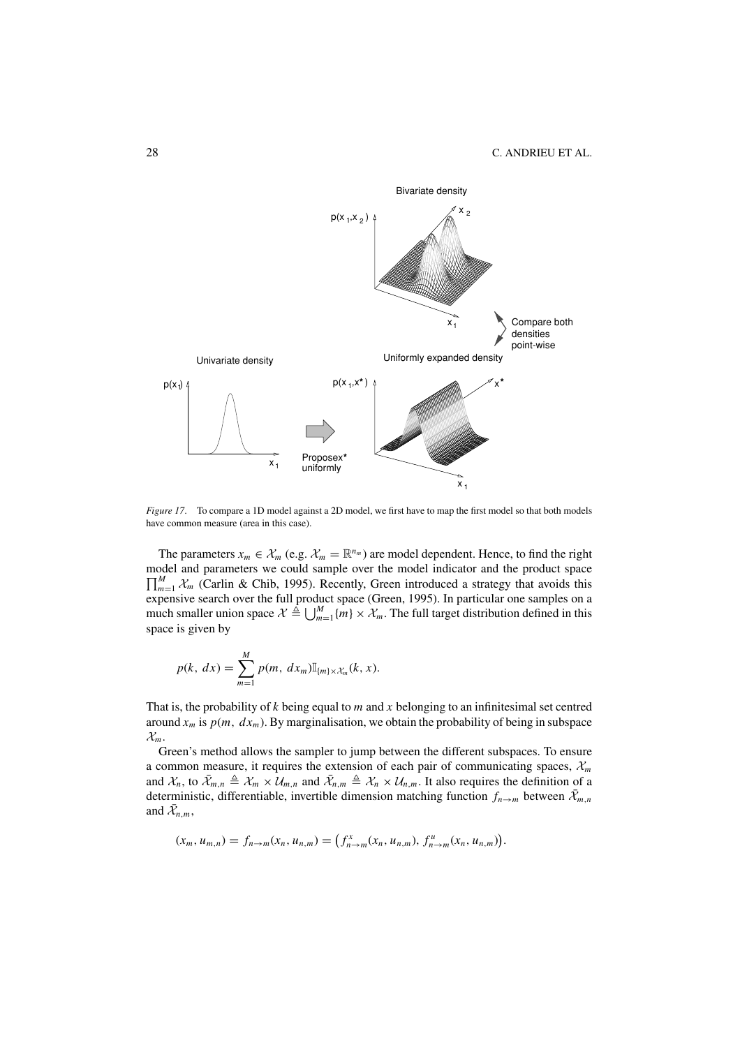

*Figure 17*. To compare a 1D model against a 2D model, we first have to map the first model so that both models have common measure (area in this case).

The parameters  $x_m \in \mathcal{X}_m$  (e.g.  $\mathcal{X}_m = \mathbb{R}^{n_m}$ ) are model dependent. Hence, to find the right model and parameters we could sample over the model indicator and the product space  $\prod_{m=1}^{M} \chi_m$  (Carlin & Chib, 1995). Recently, Green introduced a strategy that avoids this expensive search over the full product space (Green, 1995). In particular one samples on a much smaller union space  $\mathcal{X} \triangleq \bigcup_{m=1}^{M} \{m\} \times \mathcal{X}_m$ . The full target distribution defined in this space is given by

$$
p(k, dx) = \sum_{m=1}^{M} p(m, dx_m) \mathbb{I}_{\{m\} \times \mathcal{X}_m}(k, x).
$$

That is, the probability of *k* being equal to *m* and *x* belonging to an infinitesimal set centred around  $x_m$  is  $p(m, dx_m)$ . By marginalisation, we obtain the probability of being in subspace  $\mathcal{X}_m$ .

Green's method allows the sampler to jump between the different subspaces. To ensure a common measure, it requires the extension of each pair of communicating spaces,  $\mathcal{X}_m$ and  $\mathcal{X}_n$ , to  $\bar{\mathcal{X}}_{m,n} \triangleq \mathcal{X}_m \times \bar{\mathcal{U}}_{m,n}$  and  $\bar{\mathcal{X}}_{n,m} \triangleq \mathcal{X}_n \times \mathcal{U}_{n,m}$ . It also requires the definition of a deterministic, differentiable, invertible dimension matching function  $f_{n\to m}$  between  $\bar{\mathcal{X}}_{m,n}$ and  $\bar{\mathcal{X}}_{n,m}$ ,

$$
(x_m, u_{m,n}) = f_{n \to m}(x_n, u_{n,m}) = (f_{n \to m}^x(x_n, u_{n,m}), f_{n \to m}^u(x_n, u_{n,m})).
$$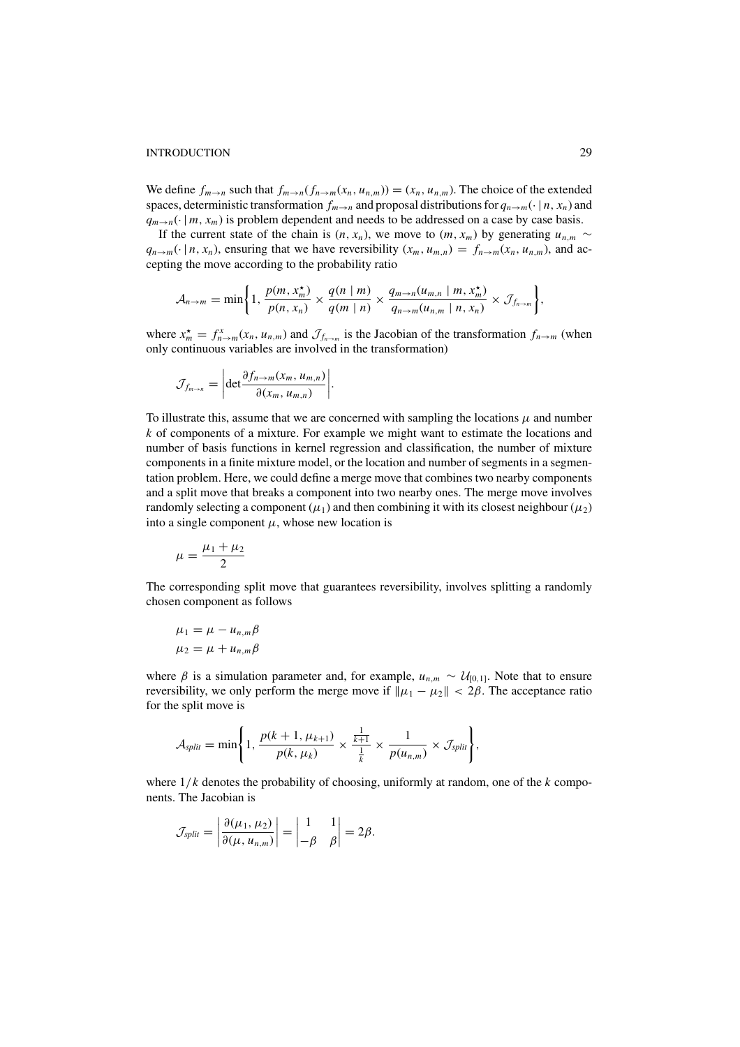We define  $f_{m\to n}$  such that  $f_{m\to n}(f_{n\to m}(x_n, u_{n,m})) = (x_n, u_{n,m})$ . The choice of the extended spaces, deterministic transformation  $f_{m\to n}$  and proposal distributions for  $q_{n\to m}(\cdot | n, x_n)$  and  $q_{m\to n}(\cdot | m, x_m)$  is problem dependent and needs to be addressed on a case by case basis.

If the current state of the chain is  $(n, x_n)$ , we move to  $(m, x_m)$  by generating  $u_{n,m} \sim$  $q_{n\to m}(\cdot | n, x_n)$ , ensuring that we have reversibility  $(x_m, u_{m,n}) = f_{n\to m}(x_n, u_{n,m})$ , and accepting the move according to the probability ratio

$$
\mathcal{A}_{n\to m}=\min\bigg\{1,\frac{p(m,x_m^*)}{p(n,x_n)}\times\frac{q(n\mid m)}{q(m\mid n)}\times\frac{q_{m\to n}(u_{m,n}\mid m,x_m^*)}{q_{n\to m}(u_{n,m}\mid n,x_n)}\times\mathcal{J}_{f_{n\to m}}\bigg\},\right.
$$

where  $x_m^* = f_{n \to m}^x(x_n, u_{n,m})$  and  $\mathcal{J}_{f_{n \to m}}$  is the Jacobian of the transformation  $f_{n \to m}$  (when only continuous variables are involved in the transformation)

$$
\mathcal{J}_{f_{m\to n}} = \left| \det \frac{\partial f_{n\to m}(x_m, u_{m,n})}{\partial (x_m, u_{m,n})} \right|.
$$

To illustrate this, assume that we are concerned with sampling the locations  $\mu$  and number *k* of components of a mixture. For example we might want to estimate the locations and number of basis functions in kernel regression and classification, the number of mixture components in a finite mixture model, or the location and number of segments in a segmentation problem. Here, we could define a merge move that combines two nearby components and a split move that breaks a component into two nearby ones. The merge move involves randomly selecting a component ( $\mu_1$ ) and then combining it with its closest neighbour ( $\mu_2$ ) into a single component  $\mu$ , whose new location is

$$
\mu = \frac{\mu_1 + \mu_2}{2}
$$

The corresponding split move that guarantees reversibility, involves splitting a randomly chosen component as follows

$$
\mu_1 = \mu - u_{n,m}\beta
$$
  

$$
\mu_2 = \mu + u_{n,m}\beta
$$

where  $\beta$  is a simulation parameter and, for example,  $u_{n,m} \sim U_{[0,1]}$ . Note that to ensure reversibility, we only perform the merge move if  $\|\mu_1 - \mu_2\| < 2\beta$ . The acceptance ratio for the split move is

$$
\mathcal{A}_{split} = \min\left\{1, \frac{p(k+1, \mu_{k+1})}{p(k, \mu_k)} \times \frac{\frac{1}{k+1}}{\frac{1}{k}} \times \frac{1}{p(u_{n,m})} \times \mathcal{J}_{split}\right\},\
$$

where  $1/k$  denotes the probability of choosing, uniformly at random, one of the  $k$  components. The Jacobian is

$$
\mathcal{J}_{split} = \left| \frac{\partial(\mu_1, \mu_2)}{\partial(\mu, u_{n,m})} \right| = \begin{vmatrix} 1 & 1 \\ -\beta & \beta \end{vmatrix} = 2\beta.
$$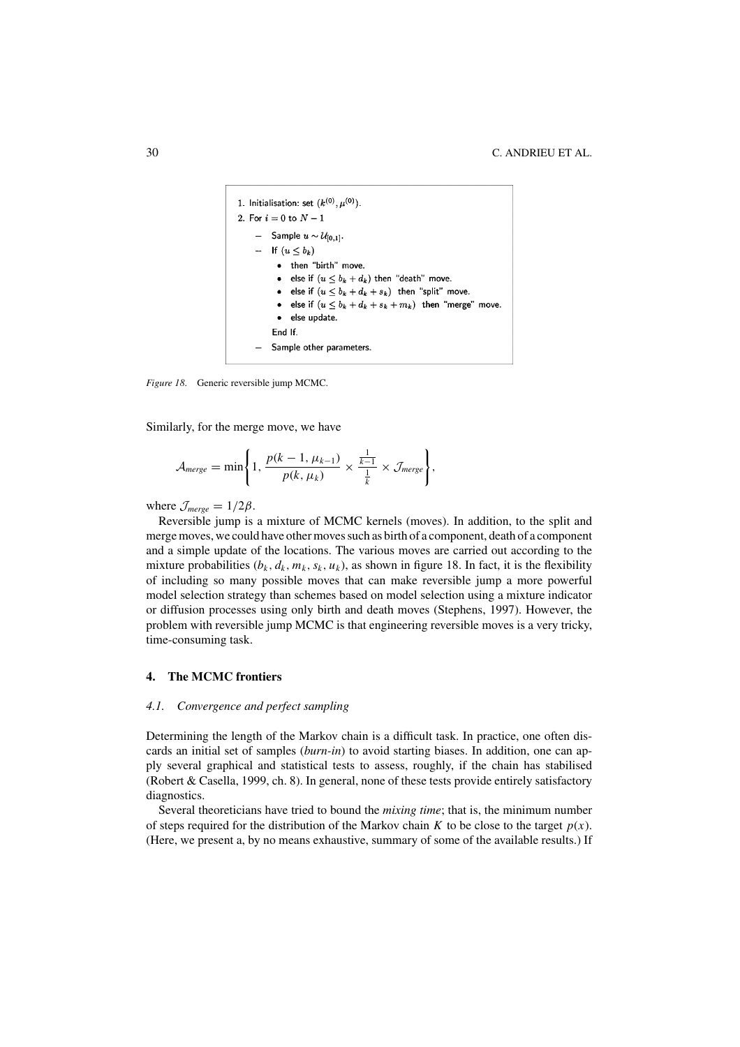

*Figure 18*. Generic reversible jump MCMC.

Similarly, for the merge move, we have

$$
\mathcal{A}_{merge} = \min\left\{1, \frac{p(k-1, \mu_{k-1})}{p(k, \mu_k)} \times \frac{\frac{1}{k-1}}{\frac{1}{k}} \times \mathcal{J}_{merge}\right\},\right\}
$$

where  $\mathcal{J}_{merge} = 1/2\beta$ .

Reversible jump is a mixture of MCMC kernels (moves). In addition, to the split and merge moves, we could have other moves such as birth of a component, death of a component and a simple update of the locations. The various moves are carried out according to the mixture probabilities  $(b_k, d_k, m_k, s_k, u_k)$ , as shown in figure 18. In fact, it is the flexibility of including so many possible moves that can make reversible jump a more powerful model selection strategy than schemes based on model selection using a mixture indicator or diffusion processes using only birth and death moves (Stephens, 1997). However, the problem with reversible jump MCMC is that engineering reversible moves is a very tricky, time-consuming task.

## **4. The MCMC frontiers**

#### *4.1. Convergence and perfect sampling*

Determining the length of the Markov chain is a difficult task. In practice, one often discards an initial set of samples (*burn-in*) to avoid starting biases. In addition, one can apply several graphical and statistical tests to assess, roughly, if the chain has stabilised (Robert & Casella, 1999, ch. 8). In general, none of these tests provide entirely satisfactory diagnostics.

Several theoreticians have tried to bound the *mixing time*; that is, the minimum number of steps required for the distribution of the Markov chain *K* to be close to the target  $p(x)$ . (Here, we present a, by no means exhaustive, summary of some of the available results.) If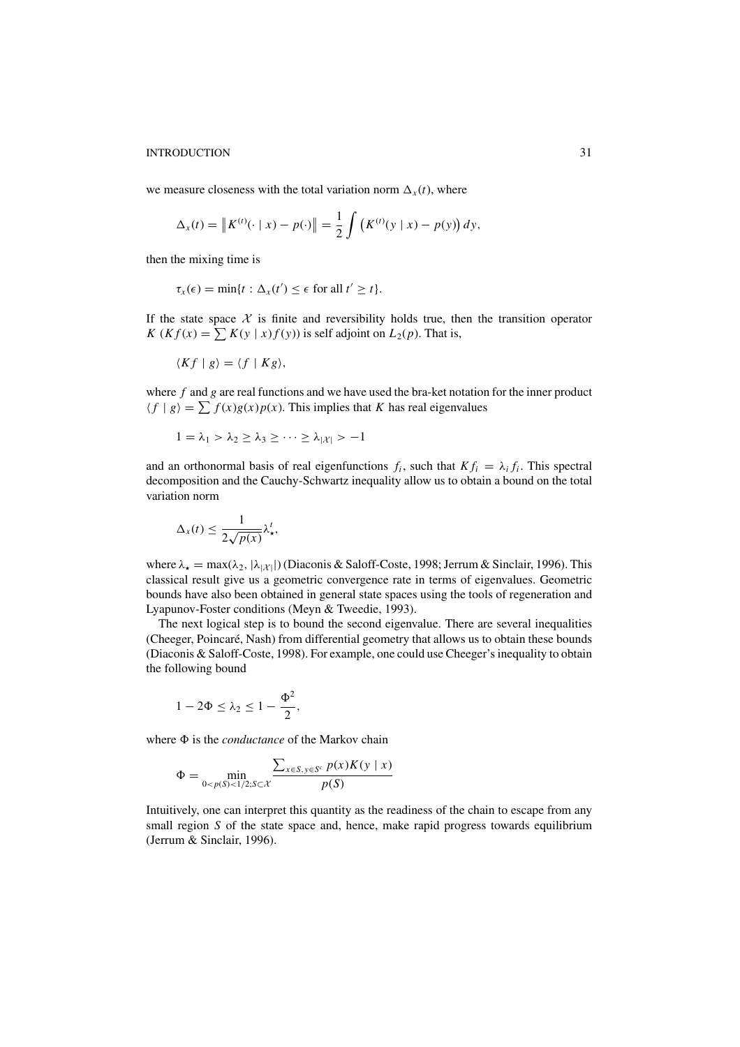we measure closeness with the total variation norm  $\Delta_x(t)$ , where

$$
\Delta_x(t) = \|K^{(t)}(\cdot \mid x) - p(\cdot)\| = \frac{1}{2} \int (K^{(t)}(y \mid x) - p(y)) dy,
$$

then the mixing time is

$$
\tau_x(\epsilon) = \min\{t : \Delta_x(t') \leq \epsilon \text{ for all } t' \geq t\}.
$$

If the state space  $X$  is finite and reversibility holds true, then the transition operator *K* (*Kf*(*x*) =  $\sum K(y | x) f(y)$ ) is self adjoint on  $L_2(p)$ . That is,

$$
\langle Kf \mid g \rangle = \langle f \mid Kg \rangle,
$$

where *f* and *g* are real functions and we have used the bra-ket notation for the inner product  $\langle f | g \rangle = \sum f(x)g(x)p(x)$ . This implies that *K* has real eigenvalues

$$
1 = \lambda_1 > \lambda_2 \geq \lambda_3 \geq \cdots \geq \lambda_{|\mathcal{X}|} > -1
$$

and an orthonormal basis of real eigenfunctions  $f_i$ , such that  $K f_i = \lambda_i f_i$ . This spectral decomposition and the Cauchy-Schwartz inequality allow us to obtain a bound on the total variation norm

$$
\Delta_x(t) \leq \frac{1}{2\sqrt{p(x)}} \lambda_x^t,
$$

where  $\lambda_{\star} = \max(\lambda_2, |\lambda_{|\mathcal{X}|})$  (Diaconis & Saloff-Coste, 1998; Jerrum & Sinclair, 1996). This classical result give us a geometric convergence rate in terms of eigenvalues. Geometric bounds have also been obtained in general state spaces using the tools of regeneration and Lyapunov-Foster conditions (Meyn & Tweedie, 1993).

The next logical step is to bound the second eigenvalue. There are several inequalities (Cheeger, Poincaré, Nash) from differential geometry that allows us to obtain these bounds (Diaconis & Saloff-Coste, 1998). For example, one could use Cheeger's inequality to obtain the following bound

$$
1-2\Phi\leq \lambda_2\leq 1-\frac{\Phi^2}{2},
$$

where  $\Phi$  is the *conductance* of the Markov chain

$$
\Phi = \min_{0 < p(S) < 1/2; S \subset \mathcal{X}} \frac{\sum_{x \in S, y \in S^c} p(x) K(y \mid x)}{p(S)}
$$

Intuitively, one can interpret this quantity as the readiness of the chain to escape from any small region *S* of the state space and, hence, make rapid progress towards equilibrium (Jerrum & Sinclair, 1996).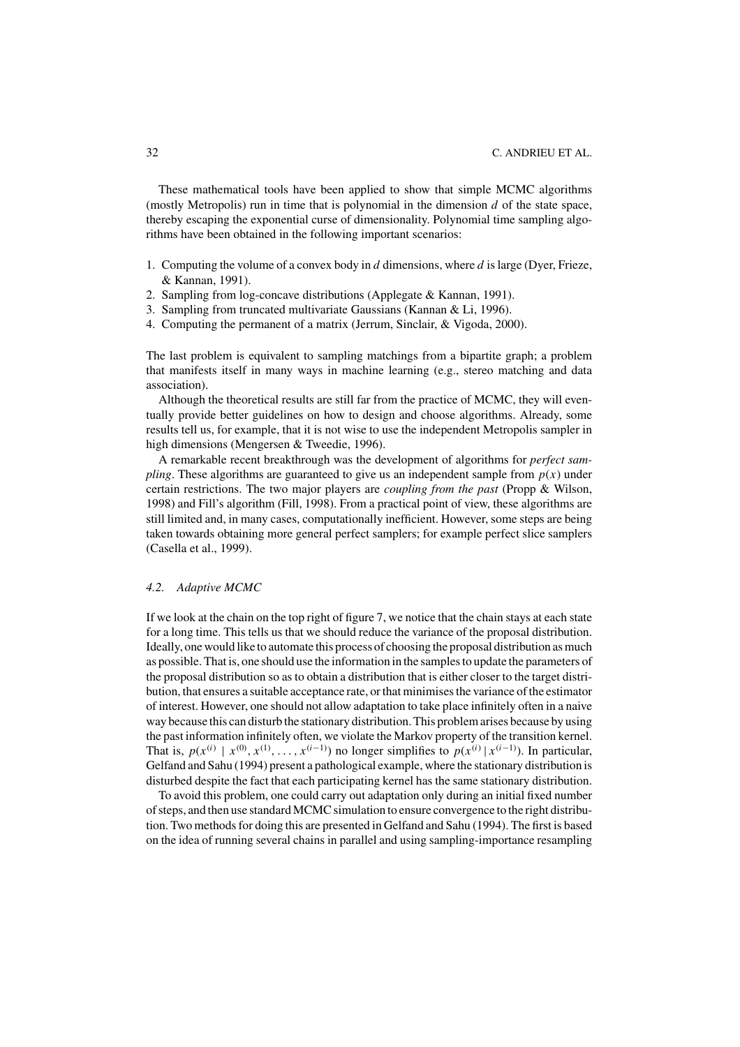These mathematical tools have been applied to show that simple MCMC algorithms (mostly Metropolis) run in time that is polynomial in the dimension *d* of the state space, thereby escaping the exponential curse of dimensionality. Polynomial time sampling algorithms have been obtained in the following important scenarios:

- 1. Computing the volume of a convex body in *d* dimensions, where *d* is large (Dyer, Frieze, & Kannan, 1991).
- 2. Sampling from log-concave distributions (Applegate & Kannan, 1991).
- 3. Sampling from truncated multivariate Gaussians (Kannan & Li, 1996).
- 4. Computing the permanent of a matrix (Jerrum, Sinclair, & Vigoda, 2000).

The last problem is equivalent to sampling matchings from a bipartite graph; a problem that manifests itself in many ways in machine learning (e.g., stereo matching and data association).

Although the theoretical results are still far from the practice of MCMC, they will eventually provide better guidelines on how to design and choose algorithms. Already, some results tell us, for example, that it is not wise to use the independent Metropolis sampler in high dimensions (Mengersen & Tweedie, 1996).

A remarkable recent breakthrough was the development of algorithms for *perfect sampling*. These algorithms are guaranteed to give us an independent sample from  $p(x)$  under certain restrictions. The two major players are *coupling from the past* (Propp & Wilson, 1998) and Fill's algorithm (Fill, 1998). From a practical point of view, these algorithms are still limited and, in many cases, computationally inefficient. However, some steps are being taken towards obtaining more general perfect samplers; for example perfect slice samplers (Casella et al., 1999).

# *4.2. Adaptive MCMC*

If we look at the chain on the top right of figure 7, we notice that the chain stays at each state for a long time. This tells us that we should reduce the variance of the proposal distribution. Ideally, one would like to automate this process of choosing the proposal distribution as much as possible. That is, one should use the information in the samples to update the parameters of the proposal distribution so as to obtain a distribution that is either closer to the target distribution, that ensures a suitable acceptance rate, or that minimises the variance of the estimator of interest. However, one should not allow adaptation to take place infinitely often in a naive way because this can disturb the stationary distribution. This problem arises because by using the past information infinitely often, we violate the Markov property of the transition kernel. That is,  $p(x^{(i)} | x^{(0)}, x^{(1)}, \ldots, x^{(i-1)})$  no longer simplifies to  $p(x^{(i)} | x^{(i-1)})$ . In particular, Gelfand and Sahu (1994) present a pathological example, where the stationary distribution is disturbed despite the fact that each participating kernel has the same stationary distribution.

To avoid this problem, one could carry out adaptation only during an initial fixed number of steps, and then use standard MCMC simulation to ensure convergence to the right distribution. Two methods for doing this are presented in Gelfand and Sahu (1994). The first is based on the idea of running several chains in parallel and using sampling-importance resampling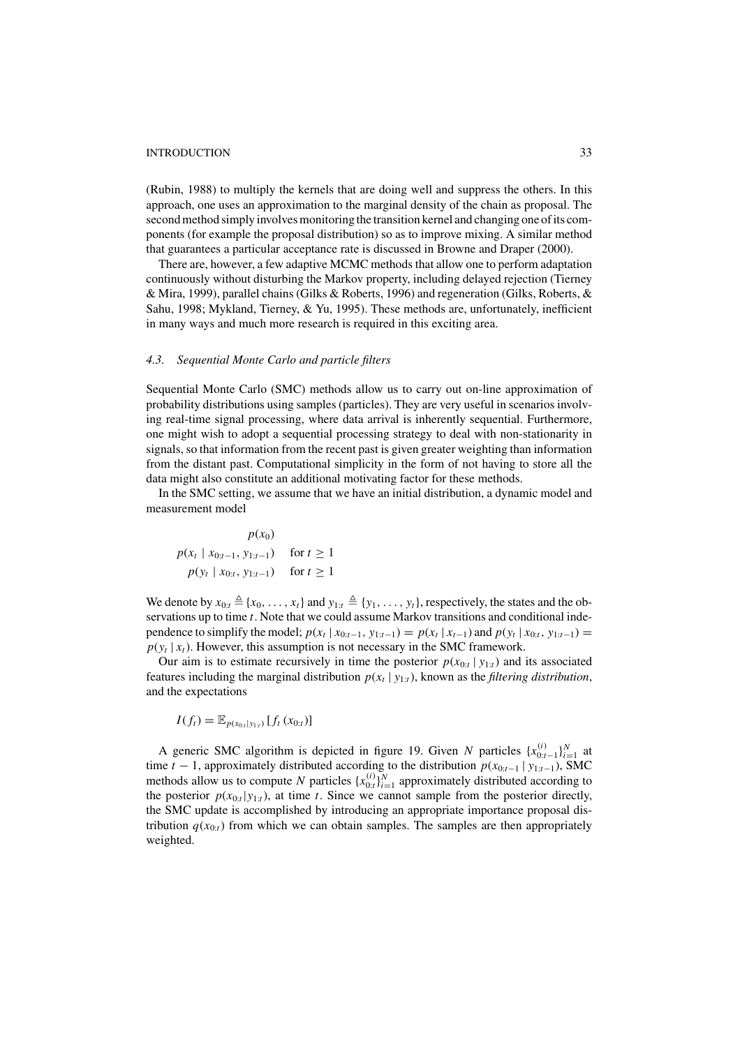(Rubin, 1988) to multiply the kernels that are doing well and suppress the others. In this approach, one uses an approximation to the marginal density of the chain as proposal. The second method simply involves monitoring the transition kernel and changing one of its components (for example the proposal distribution) so as to improve mixing. A similar method that guarantees a particular acceptance rate is discussed in Browne and Draper (2000).

There are, however, a few adaptive MCMC methods that allow one to perform adaptation continuously without disturbing the Markov property, including delayed rejection (Tierney & Mira, 1999), parallel chains (Gilks & Roberts, 1996) and regeneration (Gilks, Roberts, & Sahu, 1998; Mykland, Tierney, & Yu, 1995). These methods are, unfortunately, inefficient in many ways and much more research is required in this exciting area.

# *4.3. Sequential Monte Carlo and particle filters*

Sequential Monte Carlo (SMC) methods allow us to carry out on-line approximation of probability distributions using samples (particles). They are very useful in scenarios involving real-time signal processing, where data arrival is inherently sequential. Furthermore, one might wish to adopt a sequential processing strategy to deal with non-stationarity in signals, so that information from the recent past is given greater weighting than information from the distant past. Computational simplicity in the form of not having to store all the data might also constitute an additional motivating factor for these methods.

In the SMC setting, we assume that we have an initial distribution, a dynamic model and measurement model

 $p(x_0)$ *p*( $x_t$  |  $x_{0:t-1}$ ,  $y_{1:t-1}$ ) for  $t ≥ 1$ *p*( $y_t$  |  $x_{0:t}$ ,  $y_{1:t-1}$ ) for  $t ≥ 1$ 

We denote by  $x_{0:t} \triangleq \{x_0, \ldots, x_t\}$  and  $y_{1:t} \triangleq \{y_1, \ldots, y_t\}$ , respectively, the states and the observations up to time *t*. Note that we could assume Markov transitions and conditional independence to simplify the model;  $p(x_t | x_{0:t-1}, y_{1:t-1}) = p(x_t | x_{t-1})$  and  $p(y_t | x_{0:t}, y_{1:t-1}) =$  $p(y_t | x_t)$ . However, this assumption is not necessary in the SMC framework.

Our aim is to estimate recursively in time the posterior  $p(x_{0:t} | y_{1:t})$  and its associated features including the marginal distribution  $p(x_t | y_{1:t})$ , known as the *filtering distribution*, and the expectations

$$
I(f_t) = \mathbb{E}_{p(x_{0:t}|y_{1:t})}[f_t(x_{0:t})]
$$

A generic SMC algorithm is depicted in figure 19. Given *N* particles  $\{x_{0:t-1}^{(i)}\}_{i=1}^N$  at time *t* − 1, approximately distributed according to the distribution  $p(x_{0:t-1} | y_{1:t-1})$ , SMC methods allow us to compute *N* particles  $\{x_{0:t}^{(i)}\}_{i=1}^N$  approximately distributed according to the posterior  $p(x_{0:t}|y_{1:t})$ , at time *t*. Since we cannot sample from the posterior directly, the SMC update is accomplished by introducing an appropriate importance proposal distribution  $q(x_{0:t})$  from which we can obtain samples. The samples are then appropriately weighted.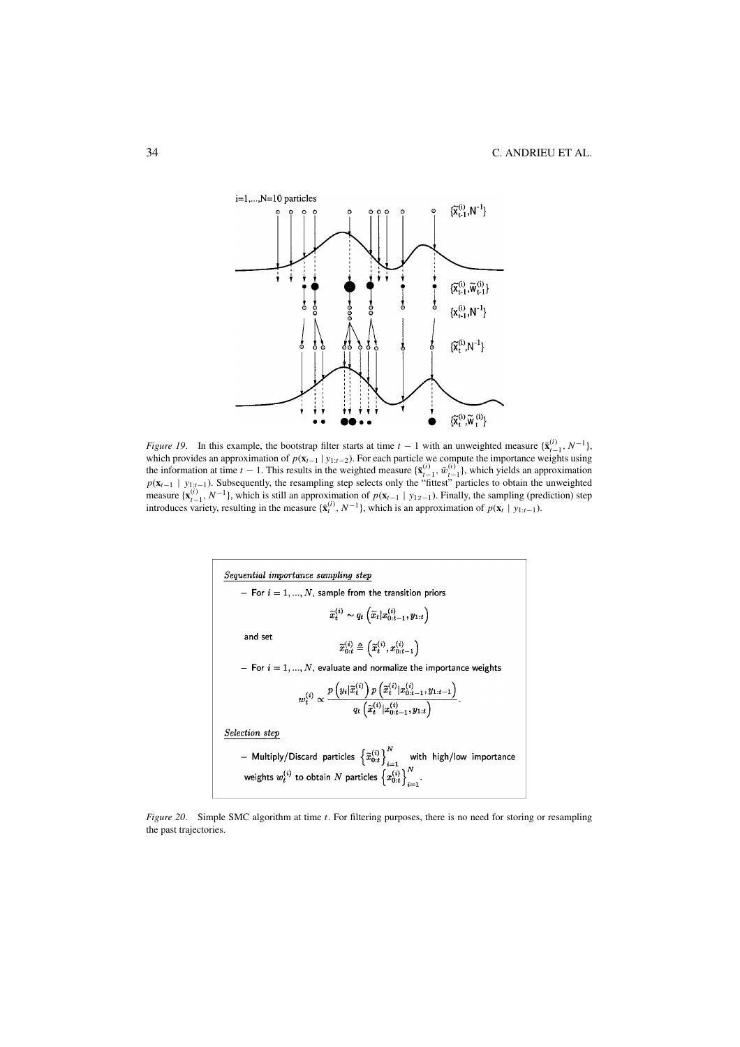

*Figure 19*. In this example, the bootstrap filter starts at time  $t - 1$  with an unweighted measure  $\{ \tilde{\mathbf{x}}_{t-1}^{(i)}, N^{-1} \}$ , which provides an approximation of  $p(\mathbf{x}_{t-1} | y_{1:t-2})$ . For each particle we compute the importance weights using the information at time *t* − 1. This results in the weighted measure  $\{\tilde{\mathbf{x}}_{t-1}^{(i)}, \tilde{w}_{t-1}^{(i)}\}$ , which yields an approximation  $p(\mathbf{x}_{t-1} | y_{1:t-1})$ . Subsequently, the resampling step selects only the "fittest" particles to obtain the unweighted measure  $\{x_{t-1}^{(i)}, N^{-1}\}$ , which is still an approximation of  $p(x_{t-1} | y_{1:t-1})$ . Finally, the sampling (prediction) step introduces variety, resulting in the measure  $\{\tilde{x}_t^{(i)}, N^{-1}\}$ , which is an approximation of  $p(x_t$ 



*Figure 20.* Simple SMC algorithm at time *t*. For filtering purposes, there is no need for storing or resampling the past trajectories.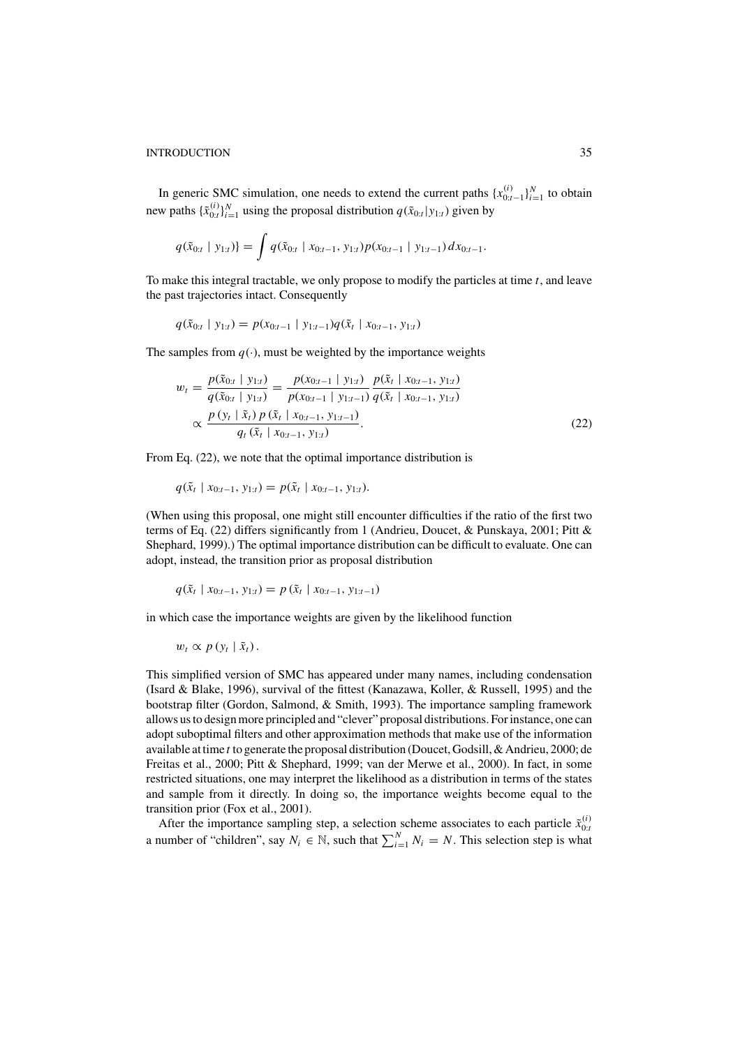In generic SMC simulation, one needs to extend the current paths  $\{x_{0:t-1}^{(i)}\}_{i=1}^N$  to obtain new paths  $\{\tilde{x}_{0:t}^{(i)}\}_{i=1}^N$  using the proposal distribution  $q(\tilde{x}_{0:t}|y_{1:t})$  given by

$$
q(\tilde{x}_{0:t} \mid y_{1:t}) = \int q(\tilde{x}_{0:t} \mid x_{0:t-1}, y_{1:t}) p(x_{0:t-1} \mid y_{1:t-1}) dx_{0:t-1}.
$$

To make this integral tractable, we only propose to modify the particles at time *t*, and leave the past trajectories intact. Consequently

$$
q(\tilde{x}_{0:t} | y_{1:t}) = p(x_{0:t-1} | y_{1:t-1})q(\tilde{x}_t | x_{0:t-1}, y_{1:t})
$$

The samples from  $q(\cdot)$ , must be weighted by the importance weights

$$
w_{t} = \frac{p(\tilde{x}_{0:t} \mid y_{1:t})}{q(\tilde{x}_{0:t} \mid y_{1:t})} = \frac{p(x_{0:t-1} \mid y_{1:t})}{p(x_{0:t-1} \mid y_{1:t-1})} \frac{p(\tilde{x}_{t} \mid x_{0:t-1}, y_{1:t})}{q(\tilde{x}_{t} \mid x_{0:t-1}, y_{1:t})}
$$

$$
\propto \frac{p(y_{t} \mid \tilde{x}_{t}) p(\tilde{x}_{t} \mid x_{0:t-1}, y_{1:t-1})}{q_{t}(\tilde{x}_{t} \mid x_{0:t-1}, y_{1:t})}.
$$
(22)

From Eq. (22), we note that the optimal importance distribution is

$$
q(\tilde{x}_t | x_{0:t-1}, y_{1:t}) = p(\tilde{x}_t | x_{0:t-1}, y_{1:t}).
$$

(When using this proposal, one might still encounter difficulties if the ratio of the first two terms of Eq. (22) differs significantly from 1 (Andrieu, Doucet, & Punskaya, 2001; Pitt & Shephard, 1999).) The optimal importance distribution can be difficult to evaluate. One can adopt, instead, the transition prior as proposal distribution

$$
q(\tilde{x}_t | x_{0:t-1}, y_{1:t}) = p(\tilde{x}_t | x_{0:t-1}, y_{1:t-1})
$$

in which case the importance weights are given by the likelihood function

 $w_t \propto p(v_t | \tilde{x}_t)$ .

This simplified version of SMC has appeared under many names, including condensation (Isard & Blake, 1996), survival of the fittest (Kanazawa, Koller, & Russell, 1995) and the bootstrap filter (Gordon, Salmond, & Smith, 1993). The importance sampling framework allows us to design more principled and "clever" proposal distributions. For instance, one can adopt suboptimal filters and other approximation methods that make use of the information available at time *t* to generate the proposal distribution (Doucet, Godsill, & Andrieu, 2000; de Freitas et al., 2000; Pitt & Shephard, 1999; van der Merwe et al., 2000). In fact, in some restricted situations, one may interpret the likelihood as a distribution in terms of the states and sample from it directly. In doing so, the importance weights become equal to the transition prior (Fox et al., 2001).

After the importance sampling step, a selection scheme associates to each particle  $\tilde{x}_{0:t}^{(i)}$ a number of "children", say  $N_i \in \mathbb{N}$ , such that  $\sum_{i=1}^{N} N_i = N$ . This selection step is what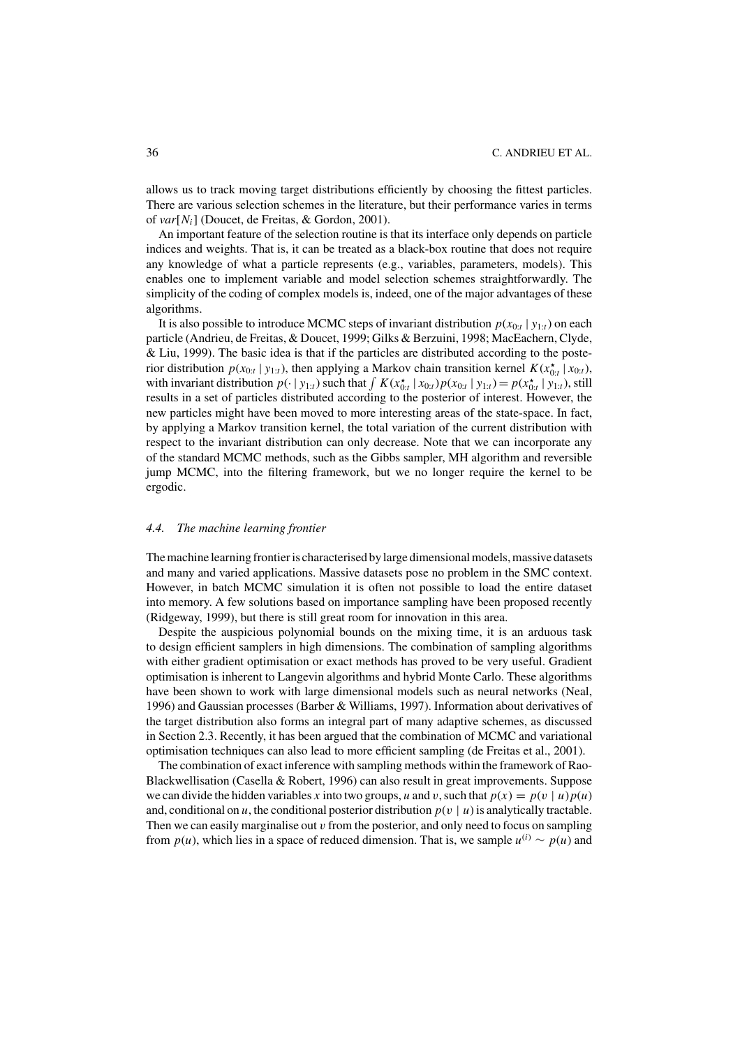allows us to track moving target distributions efficiently by choosing the fittest particles. There are various selection schemes in the literature, but their performance varies in terms of *var*[*Ni*] (Doucet, de Freitas, & Gordon, 2001).

An important feature of the selection routine is that its interface only depends on particle indices and weights. That is, it can be treated as a black-box routine that does not require any knowledge of what a particle represents (e.g., variables, parameters, models). This enables one to implement variable and model selection schemes straightforwardly. The simplicity of the coding of complex models is, indeed, one of the major advantages of these algorithms.

It is also possible to introduce MCMC steps of invariant distribution  $p(x_{0:t} | y_{1:t})$  on each particle (Andrieu, de Freitas, & Doucet, 1999; Gilks & Berzuini, 1998; MacEachern, Clyde, & Liu, 1999). The basic idea is that if the particles are distributed according to the posterior distribution  $p(x_{0:t} | y_{1:t})$ , then applying a Markov chain transition kernel  $K(x_{0:t}^* | x_{0:t})$ , with invariant distribution  $p(\cdot | y_{1:t})$  such that  $\int K(x_{0:t}^{\star} | x_{0:t}) p(x_{0:t} | y_{1:t}) = p(x_{0:t}^{\star} | y_{1:t})$ , still results in a set of particles distributed according to the posterior of interest. However, the new particles might have been moved to more interesting areas of the state-space. In fact, by applying a Markov transition kernel, the total variation of the current distribution with respect to the invariant distribution can only decrease. Note that we can incorporate any of the standard MCMC methods, such as the Gibbs sampler, MH algorithm and reversible jump MCMC, into the filtering framework, but we no longer require the kernel to be ergodic.

## *4.4. The machine learning frontier*

The machine learning frontier is characterised by large dimensional models, massive datasets and many and varied applications. Massive datasets pose no problem in the SMC context. However, in batch MCMC simulation it is often not possible to load the entire dataset into memory. A few solutions based on importance sampling have been proposed recently (Ridgeway, 1999), but there is still great room for innovation in this area.

Despite the auspicious polynomial bounds on the mixing time, it is an arduous task to design efficient samplers in high dimensions. The combination of sampling algorithms with either gradient optimisation or exact methods has proved to be very useful. Gradient optimisation is inherent to Langevin algorithms and hybrid Monte Carlo. These algorithms have been shown to work with large dimensional models such as neural networks (Neal, 1996) and Gaussian processes (Barber & Williams, 1997). Information about derivatives of the target distribution also forms an integral part of many adaptive schemes, as discussed in Section 2.3. Recently, it has been argued that the combination of MCMC and variational optimisation techniques can also lead to more efficient sampling (de Freitas et al., 2001).

The combination of exact inference with sampling methods within the framework of Rao-Blackwellisation (Casella & Robert, 1996) can also result in great improvements. Suppose we can divide the hidden variables *x* into two groups, *u* and *v*, such that  $p(x) = p(v | u)p(u)$ and, conditional on *u*, the conditional posterior distribution  $p(v | u)$  is analytically tractable. Then we can easily marginalise out  $v$  from the posterior, and only need to focus on sampling from  $p(u)$ , which lies in a space of reduced dimension. That is, we sample  $u^{(i)} \sim p(u)$  and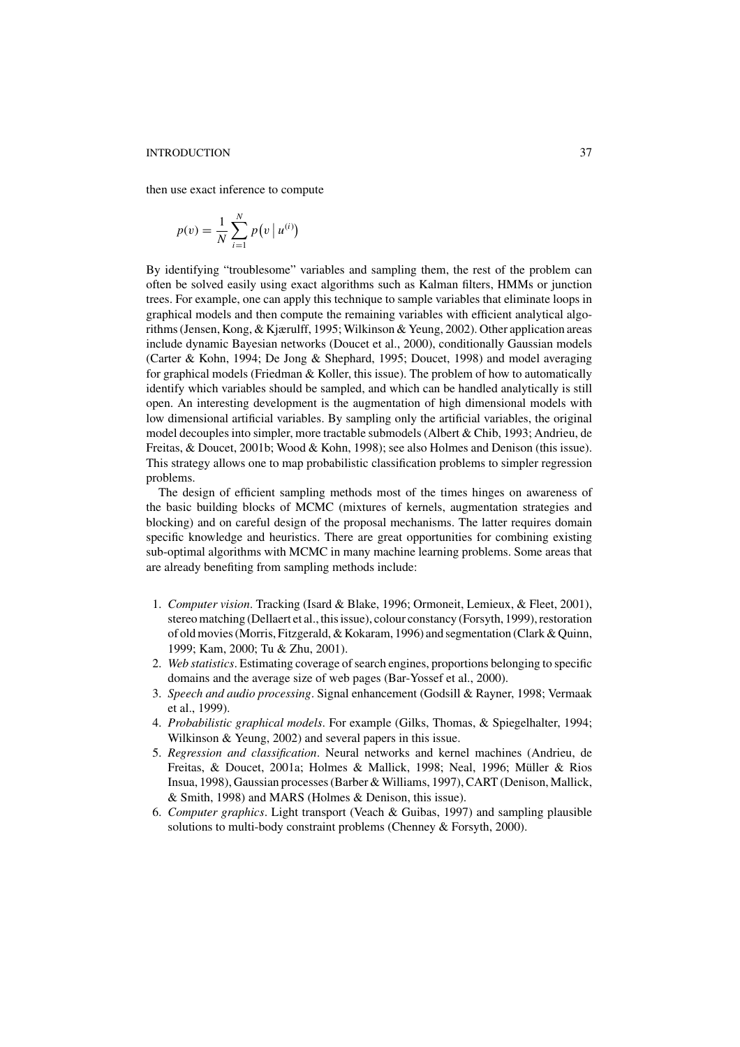then use exact inference to compute

$$
p(v) = \frac{1}{N} \sum_{i=1}^{N} p(v | u^{(i)})
$$

By identifying "troublesome" variables and sampling them, the rest of the problem can often be solved easily using exact algorithms such as Kalman filters, HMMs or junction trees. For example, one can apply this technique to sample variables that eliminate loops in graphical models and then compute the remaining variables with efficient analytical algorithms (Jensen, Kong, & Kjærulff, 1995; Wilkinson & Yeung, 2002). Other application areas include dynamic Bayesian networks (Doucet et al., 2000), conditionally Gaussian models (Carter & Kohn, 1994; De Jong & Shephard, 1995; Doucet, 1998) and model averaging for graphical models (Friedman & Koller, this issue). The problem of how to automatically identify which variables should be sampled, and which can be handled analytically is still open. An interesting development is the augmentation of high dimensional models with low dimensional artificial variables. By sampling only the artificial variables, the original model decouples into simpler, more tractable submodels (Albert & Chib, 1993; Andrieu, de Freitas, & Doucet, 2001b; Wood & Kohn, 1998); see also Holmes and Denison (this issue). This strategy allows one to map probabilistic classification problems to simpler regression problems.

The design of efficient sampling methods most of the times hinges on awareness of the basic building blocks of MCMC (mixtures of kernels, augmentation strategies and blocking) and on careful design of the proposal mechanisms. The latter requires domain specific knowledge and heuristics. There are great opportunities for combining existing sub-optimal algorithms with MCMC in many machine learning problems. Some areas that are already benefiting from sampling methods include:

- 1. *Computer vision*. Tracking (Isard & Blake, 1996; Ormoneit, Lemieux, & Fleet, 2001), stereo matching (Dellaert et al., this issue), colour constancy (Forsyth, 1999), restoration of old movies (Morris, Fitzgerald, & Kokaram, 1996) and segmentation (Clark & Quinn, 1999; Kam, 2000; Tu & Zhu, 2001).
- 2. *Web statistics*. Estimating coverage of search engines, proportions belonging to specific domains and the average size of web pages (Bar-Yossef et al., 2000).
- 3. *Speech and audio processing*. Signal enhancement (Godsill & Rayner, 1998; Vermaak et al., 1999).
- 4. *Probabilistic graphical models*. For example (Gilks, Thomas, & Spiegelhalter, 1994; Wilkinson & Yeung, 2002) and several papers in this issue.
- 5. *Regression and classification*. Neural networks and kernel machines (Andrieu, de Freitas, & Doucet, 2001a; Holmes & Mallick, 1998; Neal, 1996; Müller & Rios Insua, 1998), Gaussian processes (Barber & Williams, 1997), CART (Denison, Mallick, & Smith, 1998) and MARS (Holmes & Denison, this issue).
- 6. *Computer graphics*. Light transport (Veach & Guibas, 1997) and sampling plausible solutions to multi-body constraint problems (Chenney & Forsyth, 2000).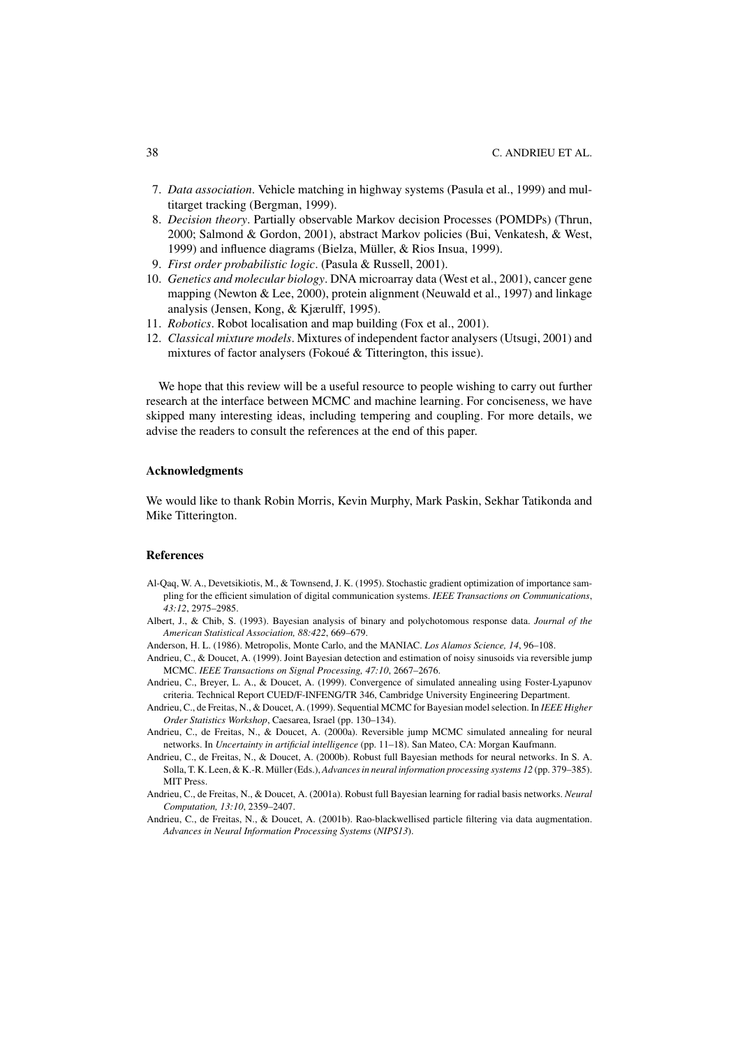- 7. *Data association*. Vehicle matching in highway systems (Pasula et al., 1999) and multitarget tracking (Bergman, 1999).
- 8. *Decision theory*. Partially observable Markov decision Processes (POMDPs) (Thrun, 2000; Salmond & Gordon, 2001), abstract Markov policies (Bui, Venkatesh, & West, 1999) and influence diagrams (Bielza, Müller, & Rios Insua, 1999).
- 9. *First order probabilistic logic*. (Pasula & Russell, 2001).
- 10. *Genetics and molecular biology*. DNA microarray data (West et al., 2001), cancer gene mapping (Newton & Lee, 2000), protein alignment (Neuwald et al., 1997) and linkage analysis (Jensen, Kong, & Kjærulff, 1995).
- 11. *Robotics*. Robot localisation and map building (Fox et al., 2001).
- 12. *Classical mixture models*. Mixtures of independent factor analysers (Utsugi, 2001) and mixtures of factor analysers (Fokoué & Titterington, this issue).

We hope that this review will be a useful resource to people wishing to carry out further research at the interface between MCMC and machine learning. For conciseness, we have skipped many interesting ideas, including tempering and coupling. For more details, we advise the readers to consult the references at the end of this paper.

## **Acknowledgments**

We would like to thank Robin Morris, Kevin Murphy, Mark Paskin, Sekhar Tatikonda and Mike Titterington.

## **References**

- Al-Qaq, W. A., Devetsikiotis, M., & Townsend, J. K. (1995). Stochastic gradient optimization of importance sampling for the efficient simulation of digital communication systems. *IEEE Transactions on Communications*, *43:12*, 2975–2985.
- Albert, J., & Chib, S. (1993). Bayesian analysis of binary and polychotomous response data. *Journal of the American Statistical Association, 88:422*, 669–679.
- Anderson, H. L. (1986). Metropolis, Monte Carlo, and the MANIAC. *Los Alamos Science, 14*, 96–108.
- Andrieu, C., & Doucet, A. (1999). Joint Bayesian detection and estimation of noisy sinusoids via reversible jump MCMC. *IEEE Transactions on Signal Processing, 47:10*, 2667–2676.
- Andrieu, C., Breyer, L. A., & Doucet, A. (1999). Convergence of simulated annealing using Foster-Lyapunov criteria. Technical Report CUED/F-INFENG/TR 346, Cambridge University Engineering Department.
- Andrieu, C., de Freitas, N., & Doucet, A. (1999). Sequential MCMC for Bayesian model selection. In *IEEE Higher Order Statistics Workshop*, Caesarea, Israel (pp. 130–134).
- Andrieu, C., de Freitas, N., & Doucet, A. (2000a). Reversible jump MCMC simulated annealing for neural networks. In *Uncertainty in artificial intelligence* (pp. 11–18). San Mateo, CA: Morgan Kaufmann.
- Andrieu, C., de Freitas, N., & Doucet, A. (2000b). Robust full Bayesian methods for neural networks. In S. A. Solla, T. K. Leen, & K.-R. Müller (Eds.), *Advances in neural information processing systems 12* (pp. 379–385). MIT Press.
- Andrieu, C., de Freitas, N., & Doucet, A. (2001a). Robust full Bayesian learning for radial basis networks. *Neural Computation, 13:10*, 2359–2407.
- Andrieu, C., de Freitas, N., & Doucet, A. (2001b). Rao-blackwellised particle filtering via data augmentation. *Advances in Neural Information Processing Systems* (*NIPS13*).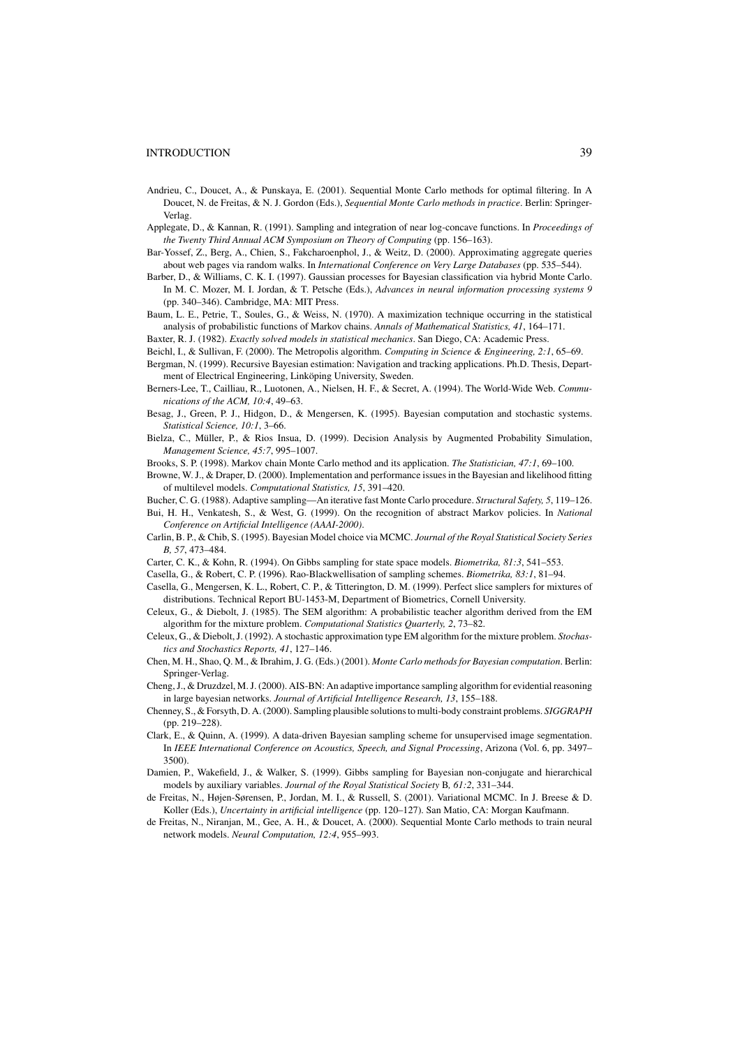- Andrieu, C., Doucet, A., & Punskaya, E. (2001). Sequential Monte Carlo methods for optimal filtering. In A Doucet, N. de Freitas, & N. J. Gordon (Eds.), *Sequential Monte Carlo methods in practice*. Berlin: Springer-Verlag.
- Applegate, D., & Kannan, R. (1991). Sampling and integration of near log-concave functions. In *Proceedings of the Twenty Third Annual ACM Symposium on Theory of Computing* (pp. 156–163).
- Bar-Yossef, Z., Berg, A., Chien, S., Fakcharoenphol, J., & Weitz, D. (2000). Approximating aggregate queries about web pages via random walks. In *International Conference on Very Large Databases* (pp. 535–544).
- Barber, D., & Williams, C. K. I. (1997). Gaussian processes for Bayesian classification via hybrid Monte Carlo. In M. C. Mozer, M. I. Jordan, & T. Petsche (Eds.), *Advances in neural information processing systems 9* (pp. 340–346). Cambridge, MA: MIT Press.
- Baum, L. E., Petrie, T., Soules, G., & Weiss, N. (1970). A maximization technique occurring in the statistical analysis of probabilistic functions of Markov chains. *Annals of Mathematical Statistics, 41*, 164–171.
- Baxter, R. J. (1982). *Exactly solved models in statistical mechanics*. San Diego, CA: Academic Press.
- Beichl, I., & Sullivan, F. (2000). The Metropolis algorithm. *Computing in Science & Engineering, 2:1*, 65–69.
- Bergman, N. (1999). Recursive Bayesian estimation: Navigation and tracking applications. Ph.D. Thesis, Department of Electrical Engineering, Linköping University, Sweden.
- Berners-Lee, T., Cailliau, R., Luotonen, A., Nielsen, H. F., & Secret, A. (1994). The World-Wide Web. *Communications of the ACM, 10:4*, 49–63.
- Besag, J., Green, P. J., Hidgon, D., & Mengersen, K. (1995). Bayesian computation and stochastic systems. *Statistical Science, 10:1*, 3–66.
- Bielza, C., Müller, P., & Rios Insua, D. (1999). Decision Analysis by Augmented Probability Simulation, *Management Science, 45:7*, 995–1007.
- Brooks, S. P. (1998). Markov chain Monte Carlo method and its application. *The Statistician, 47:1*, 69–100.
- Browne, W. J., & Draper, D. (2000). Implementation and performance issues in the Bayesian and likelihood fitting of multilevel models. *Computational Statistics, 15*, 391–420.
- Bucher, C. G. (1988). Adaptive sampling—An iterative fast Monte Carlo procedure. *Structural Safety, 5*, 119–126. Bui, H. H., Venkatesh, S., & West, G. (1999). On the recognition of abstract Markov policies. In *National*
- *Conference on Artificial Intelligence (AAAI-2000)*.
- Carlin, B. P., & Chib, S. (1995). Bayesian Model choice via MCMC. *Journal of the Royal Statistical Society Series B, 57*, 473–484.
- Carter, C. K., & Kohn, R. (1994). On Gibbs sampling for state space models. *Biometrika, 81:3*, 541–553.
- Casella, G., & Robert, C. P. (1996). Rao-Blackwellisation of sampling schemes. *Biometrika, 83:1*, 81–94.
- Casella, G., Mengersen, K. L., Robert, C. P., & Titterington, D. M. (1999). Perfect slice samplers for mixtures of distributions. Technical Report BU-1453-M, Department of Biometrics, Cornell University.
- Celeux, G., & Diebolt, J. (1985). The SEM algorithm: A probabilistic teacher algorithm derived from the EM algorithm for the mixture problem. *Computational Statistics Quarterly, 2*, 73–82.
- Celeux, G., & Diebolt, J. (1992). A stochastic approximation type EM algorithm for the mixture problem. *Stochastics and Stochastics Reports, 41*, 127–146.
- Chen, M. H., Shao, Q. M., & Ibrahim, J. G. (Eds.) (2001). *Monte Carlo methods for Bayesian computation*. Berlin: Springer-Verlag.
- Cheng, J., & Druzdzel, M. J. (2000). AIS-BN: An adaptive importance sampling algorithm for evidential reasoning in large bayesian networks. *Journal of Artificial Intelligence Research, 13*, 155–188.
- Chenney, S., & Forsyth, D. A. (2000). Sampling plausible solutions to multi-body constraint problems. *SIGGRAPH* (pp. 219–228).
- Clark, E., & Quinn, A. (1999). A data-driven Bayesian sampling scheme for unsupervised image segmentation. In *IEEE International Conference on Acoustics, Speech, and Signal Processing*, Arizona (Vol. 6, pp. 3497– 3500).
- Damien, P., Wakefield, J., & Walker, S. (1999). Gibbs sampling for Bayesian non-conjugate and hierarchical models by auxiliary variables. *Journal of the Royal Statistical Society* B*, 61:2*, 331–344.
- de Freitas, N., Højen-Sørensen, P., Jordan, M. I., & Russell, S. (2001). Variational MCMC. In J. Breese & D. Koller (Eds.), *Uncertainty in artificial intelligence* (pp. 120–127). San Matio, CA: Morgan Kaufmann.
- de Freitas, N., Niranjan, M., Gee, A. H., & Doucet, A. (2000). Sequential Monte Carlo methods to train neural network models. *Neural Computation, 12:4*, 955–993.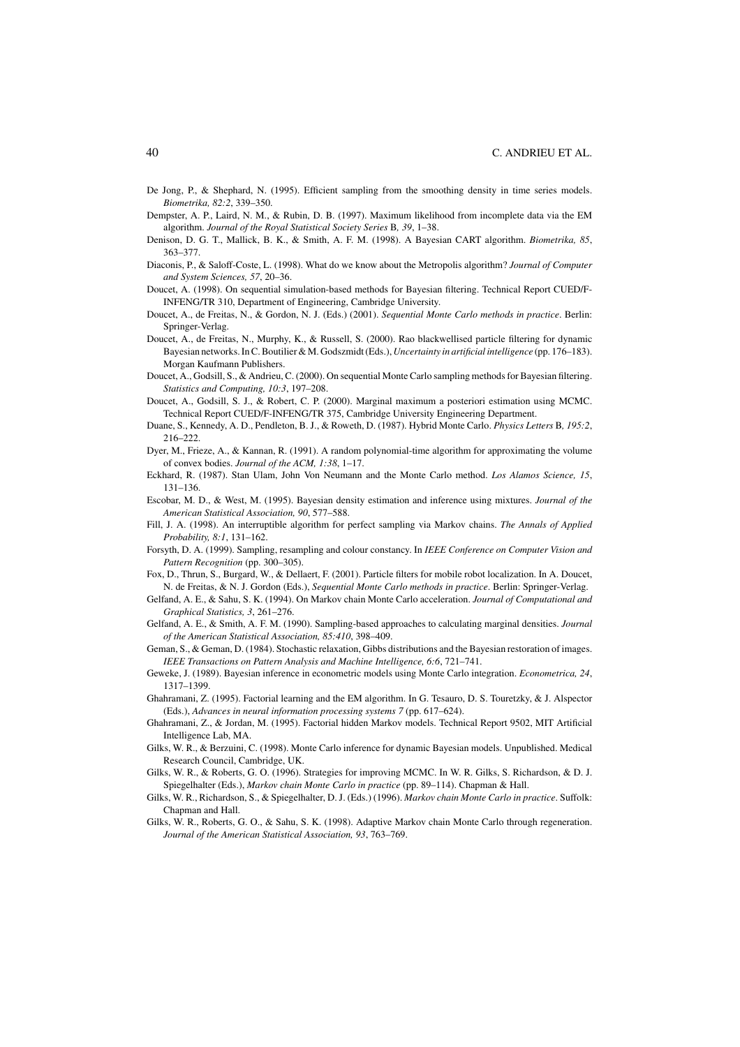- De Jong, P., & Shephard, N. (1995). Efficient sampling from the smoothing density in time series models. *Biometrika, 82:2*, 339–350.
- Dempster, A. P., Laird, N. M., & Rubin, D. B. (1997). Maximum likelihood from incomplete data via the EM algorithm. *Journal of the Royal Statistical Society Series* B*, 39*, 1–38.
- Denison, D. G. T., Mallick, B. K., & Smith, A. F. M. (1998). A Bayesian CART algorithm. *Biometrika, 85*, 363–377.
- Diaconis, P., & Saloff-Coste, L. (1998). What do we know about the Metropolis algorithm? *Journal of Computer and System Sciences, 57*, 20–36.
- Doucet, A. (1998). On sequential simulation-based methods for Bayesian filtering. Technical Report CUED/F-INFENG/TR 310, Department of Engineering, Cambridge University.
- Doucet, A., de Freitas, N., & Gordon, N. J. (Eds.) (2001). *Sequential Monte Carlo methods in practice*. Berlin: Springer-Verlag.
- Doucet, A., de Freitas, N., Murphy, K., & Russell, S. (2000). Rao blackwellised particle filtering for dynamic Bayesian networks. In C. Boutilier & M. Godszmidt (Eds.), *Uncertainty in artificial intelligence* (pp. 176–183). Morgan Kaufmann Publishers.
- Doucet, A., Godsill, S., & Andrieu, C. (2000). On sequential Monte Carlo sampling methods for Bayesian filtering. *Statistics and Computing, 10:3*, 197–208.
- Doucet, A., Godsill, S. J., & Robert, C. P. (2000). Marginal maximum a posteriori estimation using MCMC. Technical Report CUED/F-INFENG/TR 375, Cambridge University Engineering Department.
- Duane, S., Kennedy, A. D., Pendleton, B. J., & Roweth, D. (1987). Hybrid Monte Carlo. *Physics Letters* B*, 195:2*, 216–222.
- Dyer, M., Frieze, A., & Kannan, R. (1991). A random polynomial-time algorithm for approximating the volume of convex bodies. *Journal of the ACM, 1:38*, 1–17.
- Eckhard, R. (1987). Stan Ulam, John Von Neumann and the Monte Carlo method. *Los Alamos Science, 15*, 131–136.
- Escobar, M. D., & West, M. (1995). Bayesian density estimation and inference using mixtures. *Journal of the American Statistical Association, 90*, 577–588.
- Fill, J. A. (1998). An interruptible algorithm for perfect sampling via Markov chains. *The Annals of Applied Probability, 8:1*, 131–162.
- Forsyth, D. A. (1999). Sampling, resampling and colour constancy. In *IEEE Conference on Computer Vision and Pattern Recognition* (pp. 300–305).
- Fox, D., Thrun, S., Burgard, W., & Dellaert, F. (2001). Particle filters for mobile robot localization. In A. Doucet, N. de Freitas, & N. J. Gordon (Eds.), *Sequential Monte Carlo methods in practice*. Berlin: Springer-Verlag.
- Gelfand, A. E., & Sahu, S. K. (1994). On Markov chain Monte Carlo acceleration. *Journal of Computational and Graphical Statistics, 3*, 261–276.
- Gelfand, A. E., & Smith, A. F. M. (1990). Sampling-based approaches to calculating marginal densities. *Journal of the American Statistical Association, 85:410*, 398–409.
- Geman, S., & Geman, D. (1984). Stochastic relaxation, Gibbs distributions and the Bayesian restoration of images. *IEEE Transactions on Pattern Analysis and Machine Intelligence, 6:6*, 721–741.
- Geweke, J. (1989). Bayesian inference in econometric models using Monte Carlo integration. *Econometrica, 24*, 1317–1399.
- Ghahramani, Z. (1995). Factorial learning and the EM algorithm. In G. Tesauro, D. S. Touretzky, & J. Alspector (Eds.), *Advances in neural information processing systems 7* (pp. 617–624).
- Ghahramani, Z., & Jordan, M. (1995). Factorial hidden Markov models. Technical Report 9502, MIT Artificial Intelligence Lab, MA.
- Gilks, W. R., & Berzuini, C. (1998). Monte Carlo inference for dynamic Bayesian models. Unpublished. Medical Research Council, Cambridge, UK.
- Gilks, W. R., & Roberts, G. O. (1996). Strategies for improving MCMC. In W. R. Gilks, S. Richardson, & D. J. Spiegelhalter (Eds.), *Markov chain Monte Carlo in practice* (pp. 89–114). Chapman & Hall.
- Gilks, W. R., Richardson, S., & Spiegelhalter, D. J. (Eds.) (1996). *Markov chain Monte Carlo in practice*. Suffolk: Chapman and Hall.
- Gilks, W. R., Roberts, G. O., & Sahu, S. K. (1998). Adaptive Markov chain Monte Carlo through regeneration. *Journal of the American Statistical Association, 93*, 763–769.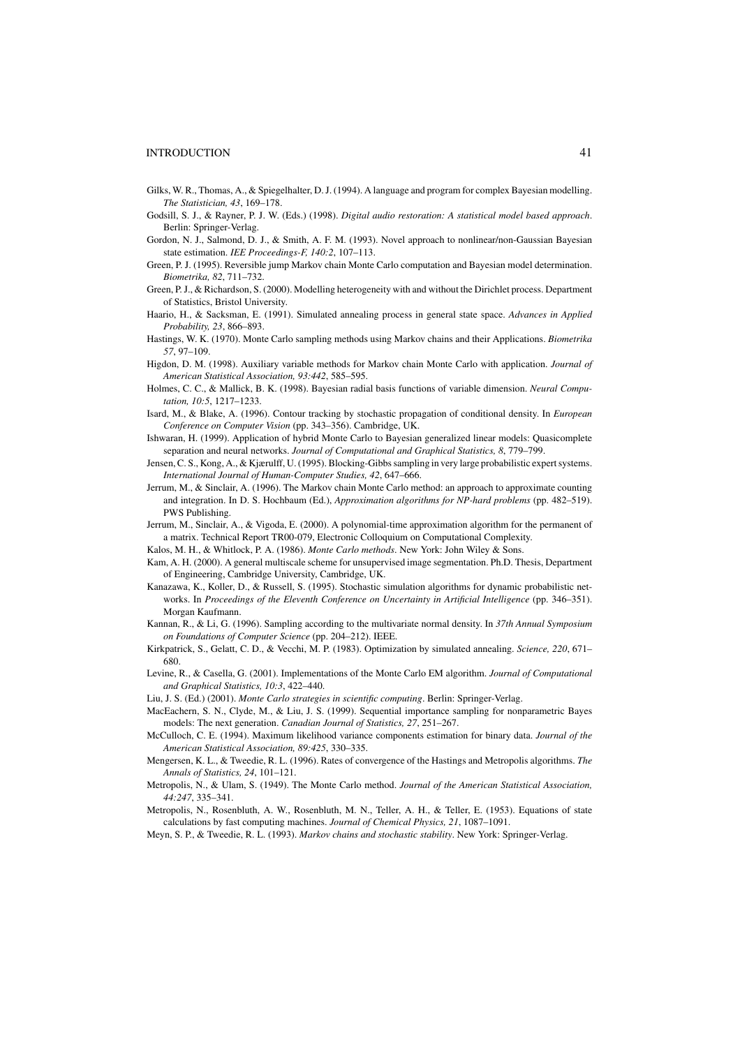- Gilks, W. R., Thomas, A., & Spiegelhalter, D. J. (1994). A language and program for complex Bayesian modelling. *The Statistician, 43*, 169–178.
- Godsill, S. J., & Rayner, P. J. W. (Eds.) (1998). *Digital audio restoration: A statistical model based approach*. Berlin: Springer-Verlag.
- Gordon, N. J., Salmond, D. J., & Smith, A. F. M. (1993). Novel approach to nonlinear/non-Gaussian Bayesian state estimation. *IEE Proceedings-F, 140:2*, 107–113.
- Green, P. J. (1995). Reversible jump Markov chain Monte Carlo computation and Bayesian model determination. *Biometrika, 82*, 711–732.
- Green, P. J., & Richardson, S. (2000). Modelling heterogeneity with and without the Dirichlet process. Department of Statistics, Bristol University.
- Haario, H., & Sacksman, E. (1991). Simulated annealing process in general state space. *Advances in Applied Probability, 23*, 866–893.
- Hastings, W. K. (1970). Monte Carlo sampling methods using Markov chains and their Applications. *Biometrika 57*, 97–109.
- Higdon, D. M. (1998). Auxiliary variable methods for Markov chain Monte Carlo with application. *Journal of American Statistical Association, 93:442*, 585–595.
- Holmes, C. C., & Mallick, B. K. (1998). Bayesian radial basis functions of variable dimension. *Neural Computation, 10:5*, 1217–1233.
- Isard, M., & Blake, A. (1996). Contour tracking by stochastic propagation of conditional density. In *European Conference on Computer Vision* (pp. 343–356). Cambridge, UK.
- Ishwaran, H. (1999). Application of hybrid Monte Carlo to Bayesian generalized linear models: Quasicomplete separation and neural networks. *Journal of Computational and Graphical Statistics, 8*, 779–799.
- Jensen, C. S., Kong, A., & Kjærulff, U. (1995). Blocking-Gibbs sampling in very large probabilistic expert systems. *International Journal of Human-Computer Studies, 42*, 647–666.
- Jerrum, M., & Sinclair, A. (1996). The Markov chain Monte Carlo method: an approach to approximate counting and integration. In D. S. Hochbaum (Ed.), *Approximation algorithms for NP-hard problems* (pp. 482–519). PWS Publishing.
- Jerrum, M., Sinclair, A., & Vigoda, E. (2000). A polynomial-time approximation algorithm for the permanent of a matrix. Technical Report TR00-079, Electronic Colloquium on Computational Complexity.
- Kalos, M. H., & Whitlock, P. A. (1986). *Monte Carlo methods*. New York: John Wiley & Sons.
- Kam, A. H. (2000). A general multiscale scheme for unsupervised image segmentation. Ph.D. Thesis, Department of Engineering, Cambridge University, Cambridge, UK.
- Kanazawa, K., Koller, D., & Russell, S. (1995). Stochastic simulation algorithms for dynamic probabilistic networks. In *Proceedings of the Eleventh Conference on Uncertainty in Artificial Intelligence* (pp. 346–351). Morgan Kaufmann.
- Kannan, R., & Li, G. (1996). Sampling according to the multivariate normal density. In *37th Annual Symposium on Foundations of Computer Science* (pp. 204–212). IEEE.
- Kirkpatrick, S., Gelatt, C. D., & Vecchi, M. P. (1983). Optimization by simulated annealing. *Science, 220*, 671– 680.
- Levine, R., & Casella, G. (2001). Implementations of the Monte Carlo EM algorithm. *Journal of Computational and Graphical Statistics, 10:3*, 422–440.
- Liu, J. S. (Ed.) (2001). *Monte Carlo strategies in scientific computing*. Berlin: Springer-Verlag.
- MacEachern, S. N., Clyde, M., & Liu, J. S. (1999). Sequential importance sampling for nonparametric Bayes models: The next generation. *Canadian Journal of Statistics, 27*, 251–267.
- McCulloch, C. E. (1994). Maximum likelihood variance components estimation for binary data. *Journal of the American Statistical Association, 89:425*, 330–335.
- Mengersen, K. L., & Tweedie, R. L. (1996). Rates of convergence of the Hastings and Metropolis algorithms. *The Annals of Statistics, 24*, 101–121.
- Metropolis, N., & Ulam, S. (1949). The Monte Carlo method. *Journal of the American Statistical Association, 44:247*, 335–341.
- Metropolis, N., Rosenbluth, A. W., Rosenbluth, M. N., Teller, A. H., & Teller, E. (1953). Equations of state calculations by fast computing machines. *Journal of Chemical Physics, 21*, 1087–1091.
- Meyn, S. P., & Tweedie, R. L. (1993). *Markov chains and stochastic stability*. New York: Springer-Verlag.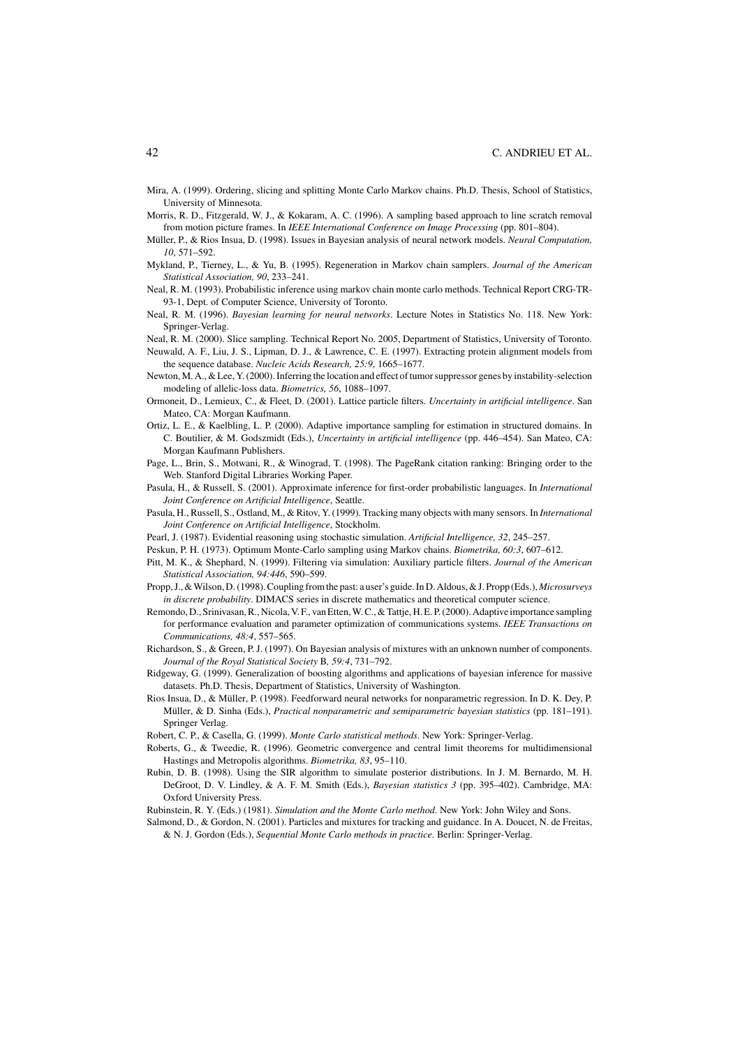#### 42 C. ANDRIEU ET AL.

- Mira, A. (1999). Ordering, slicing and splitting Monte Carlo Markov chains. Ph.D. Thesis, School of Statistics, University of Minnesota.
- Morris, R. D., Fitzgerald, W. J., & Kokaram, A. C. (1996). A sampling based approach to line scratch removal from motion picture frames. In *IEEE International Conference on Image Processing* (pp. 801–804).
- Müller, P., & Rios Insua, D. (1998). Issues in Bayesian analysis of neural network models. *Neural Computation*, *10*, 571–592.
- Mykland, P., Tierney, L., & Yu, B. (1995). Regeneration in Markov chain samplers. *Journal of the American Statistical Association, 90*, 233–241.
- Neal, R. M. (1993). Probabilistic inference using markov chain monte carlo methods. Technical Report CRG-TR-93-1, Dept. of Computer Science, University of Toronto.
- Neal, R. M. (1996). *Bayesian learning for neural networks*. Lecture Notes in Statistics No. 118. New York: Springer-Verlag.
- Neal, R. M. (2000). Slice sampling. Technical Report No. 2005, Department of Statistics, University of Toronto. Neuwald, A. F., Liu, J. S., Lipman, D. J., & Lawrence, C. E. (1997). Extracting protein alignment models from the sequence database. *Nucleic Acids Research, 25:9*, 1665–1677.
- Newton, M. A., & Lee, Y. (2000). Inferring the location and effect of tumor suppressor genes by instability-selection modeling of allelic-loss data. *Biometrics, 56*, 1088–1097.
- Ormoneit, D., Lemieux, C., & Fleet, D. (2001). Lattice particle filters. *Uncertainty in artificial intelligence*. San Mateo, CA: Morgan Kaufmann.
- Ortiz, L. E., & Kaelbling, L. P. (2000). Adaptive importance sampling for estimation in structured domains. In C. Boutilier, & M. Godszmidt (Eds.), *Uncertainty in artificial intelligence* (pp. 446–454). San Mateo, CA: Morgan Kaufmann Publishers.
- Page, L., Brin, S., Motwani, R., & Winograd, T. (1998). The PageRank citation ranking: Bringing order to the Web. Stanford Digital Libraries Working Paper.
- Pasula, H., & Russell, S. (2001). Approximate inference for first-order probabilistic languages. In *International Joint Conference on Artificial Intelligence*, Seattle.
- Pasula, H., Russell, S., Ostland, M., & Ritov, Y. (1999). Tracking many objects with many sensors. In *International Joint Conference on Artificial Intelligence*, Stockholm.
- Pearl, J. (1987). Evidential reasoning using stochastic simulation. *Artificial Intelligence, 32*, 245–257.
- Peskun, P. H. (1973). Optimum Monte-Carlo sampling using Markov chains. *Biometrika, 60:3*, 607–612.
- Pitt, M. K., & Shephard, N. (1999). Filtering via simulation: Auxiliary particle filters. *Journal of the American Statistical Association, 94:446*, 590–599.
- Propp, J., & Wilson, D. (1998). Coupling from the past: a user's guide. In D. Aldous, & J. Propp (Eds.), *Microsurveys in discrete probability*. DIMACS series in discrete mathematics and theoretical computer science.
- Remondo, D., Srinivasan, R., Nicola, V. F., van Etten, W. C., & Tattje, H. E. P. (2000). Adaptive importance sampling for performance evaluation and parameter optimization of communications systems. *IEEE Transactions on Communications, 48:4*, 557–565.
- Richardson, S., & Green, P. J. (1997). On Bayesian analysis of mixtures with an unknown number of components. *Journal of the Royal Statistical Society* B*, 59:4*, 731–792.
- Ridgeway, G. (1999). Generalization of boosting algorithms and applications of bayesian inference for massive datasets. Ph.D. Thesis, Department of Statistics, University of Washington.
- Rios Insua, D., & Müller, P. (1998). Feedforward neural networks for nonparametric regression. In D. K. Dey, P. Müller, & D. Sinha (Eds.), *Practical nonparametric and semiparametric bayesian statistics* (pp. 181-191). Springer Verlag.
- Robert, C. P., & Casella, G. (1999). *Monte Carlo statistical methods*. New York: Springer-Verlag.
- Roberts, G., & Tweedie, R. (1996). Geometric convergence and central limit theorems for multidimensional Hastings and Metropolis algorithms. *Biometrika, 83*, 95–110.
- Rubin, D. B. (1998). Using the SIR algorithm to simulate posterior distributions. In J. M. Bernardo, M. H. DeGroot, D. V. Lindley, & A. F. M. Smith (Eds.), *Bayesian statistics 3* (pp. 395–402). Cambridge, MA: Oxford University Press.
- Rubinstein, R. Y. (Eds.) (1981). *Simulation and the Monte Carlo method*. New York: John Wiley and Sons.
- Salmond, D., & Gordon, N. (2001). Particles and mixtures for tracking and guidance. In A. Doucet, N. de Freitas, & N. J. Gordon (Eds.), *Sequential Monte Carlo methods in practice*. Berlin: Springer-Verlag.